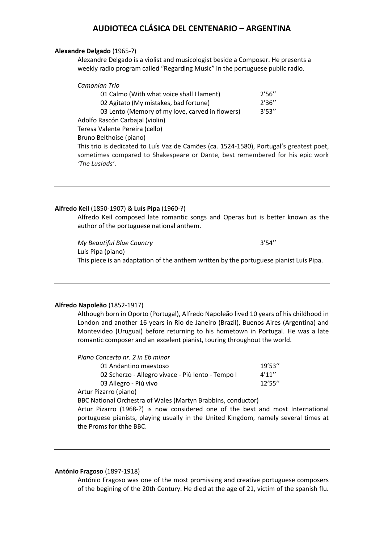### **Alexandre Delgado** (1965-?)

Alexandre Delgado is a violist and musicologist beside a Composer. He presents a weekly radio program called "Regarding Music" in the portuguese public radio.

| Camonian Trio                                   |        |
|-------------------------------------------------|--------|
| 01 Calmo (With what voice shall I lament)       | 2'56'' |
| 02 Agitato (My mistakes, bad fortune)           | 2'36'' |
| 03 Lento (Memory of my love, carved in flowers) | 3'53'' |
| Adolfo Rascón Carbajal (violin)                 |        |
| Teresa Valente Pereira (cello)                  |        |
| Bruno Belthoise (piano)                         |        |

This trio is dedicated to Luís Vaz de Camões (ca. 1524-1580), Portugal's greatest poet, sometimes compared to Shakespeare or Dante, best remembered for his epic work *'The Lusiads'*.

### **Alfredo Keil** (1850-1907) & **Luís Pipa** (1960-?)

Alfredo Keil composed late romantic songs and Operas but is better known as the author of the portuguese national anthem.

*My Beautiful Blue Country* 3'54'' Luís Pipa (piano) This piece is an adaptation of the anthem written by the portuguese pianist Luís Pipa.

### **Alfredo Napoleão** (1852-1917)

Although born in Oporto (Portugal), Alfredo Napoleão lived 10 years of his childhood in London and another 16 years in Rio de Janeiro (Brazil), Buenos Aires (Argentina) and Montevideo (Uruguai) before returning to his hometown in Portugal. He was a late romantic composer and an excelent pianist, touring throughout the world.

| Piano Concerto nr. 2 in Eb minor                                                                                      |         |
|-----------------------------------------------------------------------------------------------------------------------|---------|
| 01 Andantino maestoso                                                                                                 | 19'53'' |
| 02 Scherzo - Allegro vivace - Più lento - Tempo I                                                                     | 4'11''  |
| 03 Allegro - Piú vivo                                                                                                 | 12'55'' |
| Artur Pizarro (piano)                                                                                                 |         |
| <b>PPONICIPALIC CONFIDENTIAL PROPERTY AND ACCOUNT ACCOUNT ACCOUNT ACCOUNT ACCOUNT ACCOUNT ACCOUNT ACCOUNT ACCOUNT</b> |         |

BBC National Orchestra of Wales (Martyn Brabbins, conductor) Artur Pizarro (1968-?) is now considered one of the best and most International

portuguese pianists, playing usually in the United Kingdom, namely several times at the Proms for thhe BBC.

### **António Fragoso** (1897-1918)

António Fragoso was one of the most promissing and creative portuguese composers of the begining of the 20th Century. He died at the age of 21, victim of the spanish flu.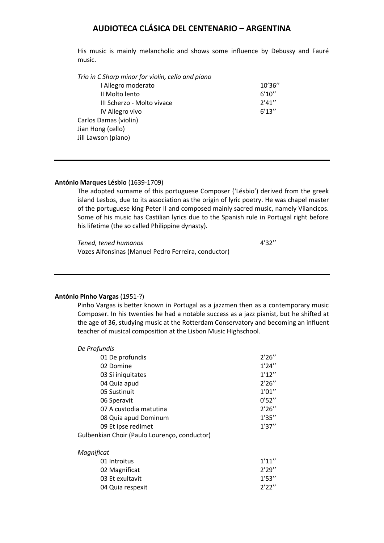His music is mainly melancholic and shows some influence by Debussy and Fauré music.

*Trio in C Sharp minor for violin, cello and piano*

| I Allegro moderato         | 10'36'' |
|----------------------------|---------|
| II Molto lento             | 6'10''  |
| III Scherzo - Molto vivace | 2'41''  |
| IV Allegro vivo            | 6'13''  |
| Carlos Damas (violin)      |         |
| Jian Hong (cello)          |         |
| Jill Lawson (piano)        |         |
|                            |         |

### **António Marques Lésbio** (1639-1709)

The adopted surname of this portuguese Composer ('Lésbio') derived from the greek island Lesbos, due to its association as the origin of lyric poetry. He was chapel master of the portuguese king Peter II and composed mainly sacred music, namely Vilancicos. Some of his music has Castilian lyrics due to the Spanish rule in Portugal right before his lifetime (the so called Philippine dynasty).

| Tened, tened humanos                                | 4'32'' |
|-----------------------------------------------------|--------|
| Vozes Alfonsinas (Manuel Pedro Ferreira, conductor) |        |

### **António Pinho Vargas** (1951-?)

Pinho Vargas is better known in Portugal as a jazzmen then as a contemporary music Composer. In his twenties he had a notable success as a jazz pianist, but he shifted at the age of 36, studying music at the Rotterdam Conservatory and becoming an influent teacher of musical composition at the Lisbon Music Highschool.

| De Profundis                                 |        |
|----------------------------------------------|--------|
| 01 De profundis                              | 2'26'' |
| 02 Domine                                    | 1'24'' |
| 03 Si iniquitates                            | 1'12'' |
| 04 Quia apud                                 | 2'26'' |
| 05 Sustinuit                                 | 1'01'' |
| 06 Speravit                                  | 0'52'' |
| 07 A custodia matutina                       | 2'26'' |
| 08 Quia apud Dominum                         | 1'35'' |
| 09 Et ipse redimet                           | 1'37'' |
| Gulbenkian Choir (Paulo Lourenço, conductor) |        |
| Magnificat                                   |        |
| 01 Introitus                                 | 1'11'' |
| 02 Magnificat                                | 2'29'' |
| 03 Et exultavit                              | 1'53'' |
| 04 Quia respexit                             | 2'22'' |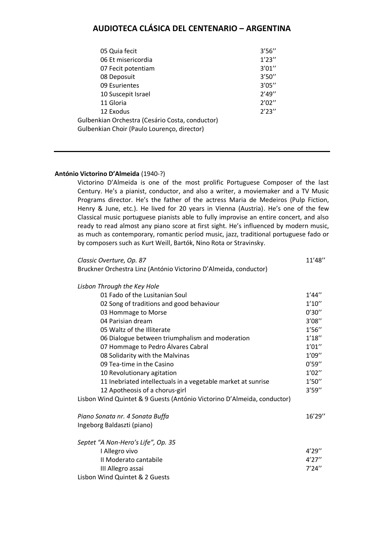| 05 Quia fecit                                                                                  | 3'56'' |
|------------------------------------------------------------------------------------------------|--------|
| 06 Et misericordia                                                                             | 1'23'' |
| 07 Fecit potentiam                                                                             | 3'01'' |
| 08 Deposuit                                                                                    | 3'50'' |
| 09 Esurientes                                                                                  | 3'05'' |
| 10 Suscepit Israel                                                                             | 2'49'' |
| 11 Gloria                                                                                      | 2'02'' |
| 12 Exodus                                                                                      | 2'23'' |
| Gulbenkian Orchestra (Cesário Costa, conductor)<br>Gulbenkian Choir (Paulo Lourenço, director) |        |
|                                                                                                |        |

### **António Victorino D'Almeida** (1940-?)

Victorino D'Almeida is one of the most prolific Portuguese Composer of the last Century. He's a pianist, conductor, and also a writer, a moviemaker and a TV Music Programs director. He's the father of the actress Maria de Medeiros (Pulp Fiction, Henry & June, etc.). He lived for 20 years in Vienna (Austria). He's one of the few Classical music portuguese pianists able to fully improvise an entire concert, and also ready to read almost any piano score at first sight. He's influenced by modern music, as much as contemporary, romantic períod music, jazz, traditional portuguese fado or by composers such as Kurt Weill, Bartók, Nino Rota or Stravinsky.

| Classic Overture, Op. 87                                                | 11'48" |
|-------------------------------------------------------------------------|--------|
| Bruckner Orchestra Linz (António Victorino D'Almeida, conductor)        |        |
| Lisbon Through the Key Hole                                             |        |
| 01 Fado of the Lusitanian Soul                                          | 1'44'' |
| 02 Song of traditions and good behaviour                                | 1'10'' |
| 03 Hommage to Morse                                                     | 0'30'' |
| 04 Parisian dream                                                       | 3'08'' |
| 05 Waltz of the Illiterate                                              | 1'56'' |
| 06 Dialogue between triumphalism and moderation                         | 1'18'' |
| 07 Hommage to Pedro Álvares Cabral                                      | 1'01'' |
| 08 Solidarity with the Malvinas                                         | 1'09'' |
| 09 Tea-time in the Casino                                               | 0'59'' |
| 10 Revolutionary agitation                                              | 1'02'' |
| 11 Inebriated intellectuals in a vegetable market at sunrise            | 1'50'' |
| 12 Apotheosis of a chorus-girl                                          | 3'59'' |
| Lisbon Wind Quintet & 9 Guests (António Victorino D'Almeida, conductor) |        |
| Piano Sonata nr. 4 Sonata Buffa                                         | 16'29" |
| Ingeborg Baldaszti (piano)                                              |        |
| Septet "A Non-Hero's Life", Op. 35                                      |        |
| I Allegro vivo                                                          | 4'29'' |
| II Moderato cantabile                                                   | 4'27'' |
| III Allegro assai                                                       | 7'24'' |
| Lisbon Wind Quintet & 2 Guests                                          |        |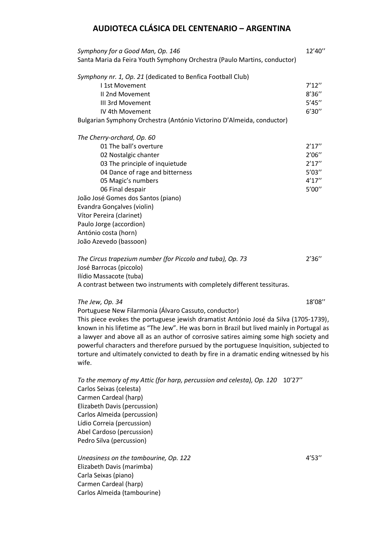| Symphony for a Good Man, Op. 146                                         | 12'40" |
|--------------------------------------------------------------------------|--------|
| Santa Maria da Feira Youth Symphony Orchestra (Paulo Martins, conductor) |        |
| Symphony nr. 1, Op. 21 (dedicated to Benfica Football Club)              |        |
| 11st Movement                                                            | 7'12'' |
| II 2nd Movement                                                          | 8'36'' |
| III 3rd Movement                                                         | 5'45'' |
| IV 4th Movement                                                          | 6'30'' |
| Bulgarian Symphony Orchestra (António Victorino D'Almeida, conductor)    |        |
| The Cherry-orchard, Op. 60                                               |        |
| 01 The ball's overture                                                   | 2'17'' |
| 02 Nostalgic chanter                                                     | 2'06'' |
| 03 The principle of inquietude                                           | 2'17'' |
| 04 Dance of rage and bitterness                                          | 5'03'' |
| 05 Magic's numbers                                                       | 4'17'' |
| 06 Final despair                                                         | 5'00'' |
| João José Gomes dos Santos (piano)                                       |        |
| Evandra Gonçalves (violin)                                               |        |
| Vítor Pereira (clarinet)                                                 |        |
| Paulo Jorge (accordion)                                                  |        |
| António costa (horn)                                                     |        |
| João Azevedo (bassoon)                                                   |        |
| The Circus trapezium number (for Piccolo and tuba), Op. 73               | 2'36'' |
| José Barrocas (piccolo)                                                  |        |
| Ilídio Massacote (tuba)                                                  |        |
| A contrast between two instruments with completely different tessituras. |        |
| The Jew, Op. 34                                                          | 18'08" |

Portuguese New Filarmonia (Álvaro Cassuto, conductor)

This piece evokes the portuguese jewish dramatist António José da Silva (1705-1739), known in his lifetime as "The Jew". He was born in Brazil but lived mainly in Portugal as a lawyer and above all as an author of corrosive satires aiming some high society and powerful characters and therefore pursued by the portuguese Inquisition, subjected to torture and ultimately convicted to death by fire in a dramatic ending witnessed by his wife.

*To the memory of my Attic (for harp, percussion and celesta), Op. 120* 10'27'' Carlos Seixas (celesta) Carmen Cardeal (harp) Elizabeth Davis (percussion) Carlos Almeida (percussion) Lídio Correia (percussion) Abel Cardoso (percussion) Pedro Silva (percussion)

*Uneasiness on the tambourine, Op. 122* 4'53'' Elizabeth Davis (marimba) Carla Seixas (piano) Carmen Cardeal (harp) Carlos Almeida (tambourine)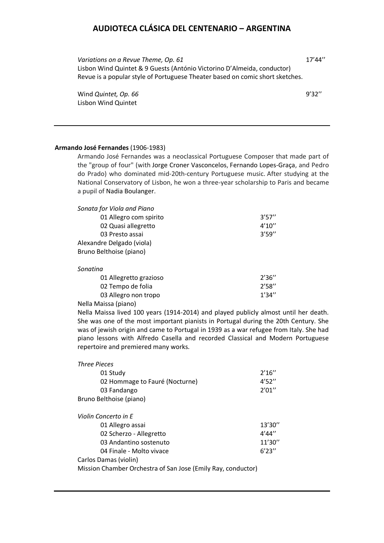Variations on a Revue Theme, Op. 61 17'44" Lisbon Wind Quintet & 9 Guests (António Victorino D'Almeida, conductor) Revue is a popular style of Portuguese Theater based on comic short sketches.

Wind *Quintet, Op. 66* 9'32" Lisbon Wind Quintet

### **Armando José Fernandes** (1906-1983)

Armando José Fernandes was a neoclassical Portuguese Composer that made part of the "group of four" (with Jorge Croner Vasconcelos, Fernando Lopes-Graça, and Pedro do Prado) who dominated mid-20th-century Portuguese music. After studying at the National Conservatory of Lisbon, he won a three-year scholarship to Paris and became a pupil of Nadia Boulanger.

| Sonata for Viola and Piano |        |
|----------------------------|--------|
| 01 Allegro com spirito     | 3'57'' |
| 02 Quasi allegretto        | 4'10'' |
| 03 Presto assai            | 3'59'' |
| Alexandre Delgado (viola)  |        |
| Bruno Belthoise (piano)    |        |
| Sonatina                   |        |

| 01 Allegretto grazioso | 2'36'' |
|------------------------|--------|
| 02 Tempo de folia      | 2'58'' |
| 03 Allegro non tropo   | 1'34'' |

Nella Maissa (piano)

Nella Maissa lived 100 years (1914-2014) and played publicly almost until her death. She was one of the most important pianists in Portugal during the 20th Century. She was of jewish origin and came to Portugal in 1939 as a war refugee from Italy. She had piano lessons with Alfredo Casella and recorded Classical and Modern Portuguese repertoire and premiered many works.

| <b>Three Pieces</b>                                          |         |
|--------------------------------------------------------------|---------|
| 01 Study                                                     | 2'16''  |
| 02 Hommage to Fauré (Nocturne)                               | 4'52''  |
| 03 Fandango                                                  | 2'01''  |
| Bruno Belthoise (piano)                                      |         |
| Violin Concerto in E                                         |         |
| 01 Allegro assai                                             | 13'30'' |
| 02 Scherzo - Allegretto                                      | 4'44''  |
| 03 Andantino sostenuto                                       | 11'30'' |
| 04 Finale - Molto vivace                                     | 6'23''  |
| Carlos Damas (violin)                                        |         |
| Mission Chamber Orchestra of San Jose (Emily Ray, conductor) |         |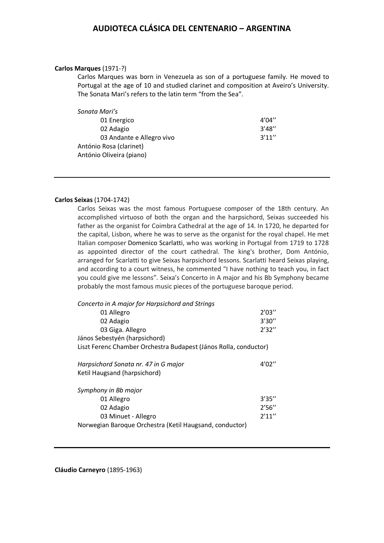#### **Carlos Marques** (1971-?)

Carlos Marques was born in Venezuela as son of a portuguese family. He moved to Portugal at the age of 10 and studied clarinet and composition at Aveiro's University. The Sonata Mari's refers to the latin term "from the Sea".

| 4'04'' |
|--------|
| 3'48'' |
| 3'11'' |
|        |
|        |
|        |

#### **Carlos Seixas** (1704-1742)

Carlos Seixas was the most famous Portuguese composer of the 18th century. An accomplished virtuoso of both the organ and the harpsichord, Seixas succeeded his father as the organist for Coimbra Cathedral at the age of 14. In 1720, he departed for the capital, Lisbon, where he was to serve as the organist for the royal chapel. He met Italian composer Domenico Scarlatti, who was working in Portugal from 1719 to 1728 as appointed director of the court cathedral. The king's brother, Dom António, arranged for Scarlatti to give Seixas harpsichord lessons. Scarlatti heard Seixas playing, and according to a court witness, he commented "I have nothing to teach you, in fact you could give me lessons". Seixa's Concerto in A major and his Bb Symphony became probably the most famous music pieces of the portuguese baroque period.

| Concerto in A major for Harpsichord and Strings                  |        |  |
|------------------------------------------------------------------|--------|--|
| 01 Allegro                                                       | 2'03'' |  |
| 02 Adagio                                                        | 3'30'' |  |
| 03 Giga. Allegro                                                 | 2'32'' |  |
| János Sebestyén (harpsichord)                                    |        |  |
| Liszt Ferenc Chamber Orchestra Budapest (János Rolla, conductor) |        |  |
| Harpsichord Sonata nr. 47 in G major                             | 4'02'' |  |
| Ketil Haugsand (harpsichord)                                     |        |  |
| Symphony in Bb major                                             |        |  |
| 01 Allegro                                                       | 3'35'' |  |
| 02 Adagio                                                        | 2'56'' |  |
| 03 Minuet - Allegro                                              | 2'11'' |  |
| Norwegian Baroque Orchestra (Ketil Haugsand, conductor)          |        |  |

**Cláudio Carneyro** (1895-1963)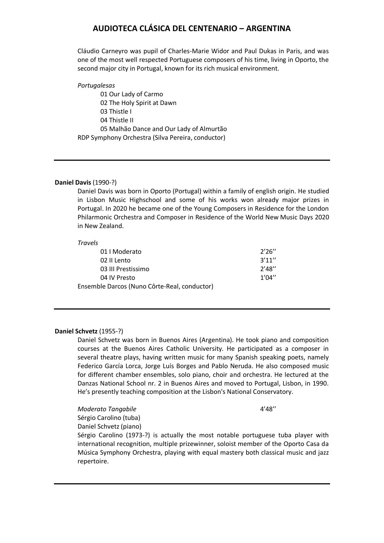Cláudio Carneyro was pupil of Charles-Marie Widor and Paul Dukas in Paris, and was one of the most well respected Portuguese composers of his time, living in Oporto, the second major city in Portugal, known for its rich musical environment.

*Portugalesas*

01 Our Lady of Carmo 02 The Holy Spirit at Dawn 03 Thistle I 04 Thistle II 05 Malhão Dance and Our Lady of Almurtão RDP Symphony Orchestra (Silva Pereira, conductor)

### **Daniel Davis** (1990-?)

Daniel Davis was born in Oporto (Portugal) within a family of english origin. He studied in Lisbon Music Highschool and some of his works won already major prizes in Portugal. In 2020 he became one of the Young Composers in Residence for the London Philarmonic Orchestra and Composer in Residence of the World New Music Days 2020 in New Zealand.

#### *Travels*

| 01   Moderato                                | 2'26'' |
|----------------------------------------------|--------|
| 02 Il Lento                                  | 3'11'' |
| 03 III Prestissimo                           | 2'48'' |
| 04 IV Presto                                 | 1'04'' |
| Ensemble Darcos (Nuno Côrte-Real, conductor) |        |

### **Daniel Schvetz** (1955-?)

Daniel Schvetz was born in Buenos Aires (Argentina). He took piano and composition courses at the Buenos Aires Catholic University. He participated as a composer in several theatre plays, having written music for many Spanish speaking poets, namely Federico García Lorca, Jorge Luís Borges and Pablo Neruda. He also composed music for different chamber ensembles, solo piano, choir and orchestra. He lectured at the Danzas National School nr. 2 in Buenos Aires and moved to Portugal, Lisbon, in 1990. He's presently teaching composition at the Lisbon's National Conservatory.

**Moderato Tangabile** 4'48" Sérgio Carolino (tuba)

Daniel Schvetz (piano)

Sérgio Carolino (1973-?) is actually the most notable portuguese tuba player with international recognition, multiple prizewinner, soloist member of the Oporto Casa da Música Symphony Orchestra, playing with equal mastery both classical music and jazz repertoire.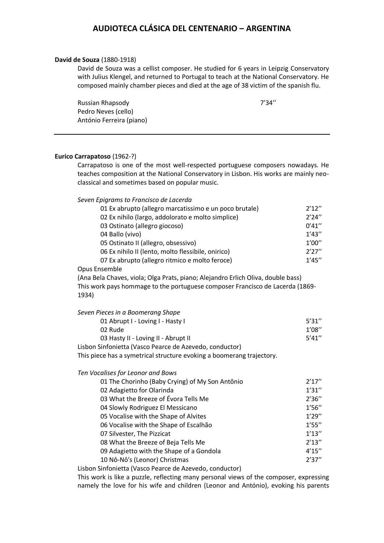#### **David de Souza** (1880-1918)

David de Souza was a cellist composer. He studied for 6 years in Leipzig Conservatory with Julius Klengel, and returned to Portugal to teach at the National Conservatory. He composed mainly chamber pieces and died at the age of 38 victim of the spanish flu.

Russian Rhapsody **7'34''** Pedro Neves (cello) António Ferreira (piano)

### **Eurico Carrapatoso** (1962-?)

Carrapatoso is one of the most well-respected portuguese composers nowadays. He teaches composition at the National Conservatory in Lisbon. His works are mainly neoclassical and sometimes based on popular music.

### *Seven Epigrams to Francisco de Lacerda*

| 01 Ex abrupto (allegro marcatissimo e un poco brutale)                           | 2'12'' |
|----------------------------------------------------------------------------------|--------|
| 02 Ex nihilo (largo, addolorato e molto simplice)                                | 2'24'' |
| 03 Ostinato (allegro giocoso)                                                    | 0'41'' |
| 04 Ballo (vivo)                                                                  | 1'43'' |
| 05 Ostinato II (allegro, obsessivo)                                              | 1'00'' |
| 06 Ex nihilo II (lento, molto flessibile, onirico)                               | 2'27'' |
| 07 Ex abrupto (allegro ritmico e molto feroce)                                   | 1'45'' |
| Opus Ensemble                                                                    |        |
| (Ana Bela Chaves, viola; Olga Prats, piano; Alejandro Erlich Oliva, double bass) |        |

This work pays hommage to the portuguese composer Francisco de Lacerda (1869- 1934)

| Seven Pieces in a Boomerang Shape                       |        |
|---------------------------------------------------------|--------|
| 01 Abrupt I - Loving I - Hasty I                        | 5'31'' |
| 02 Rude                                                 | 1'08'' |
| 03 Hasty II - Loving II - Abrupt II                     | 5'41'' |
| Lisbon Sinfonietta (Vasco Pearce de Azevedo, conductor) |        |

This piece has a symetrical structure evoking a boomerang trajectory.

*Ten Vocalises for Leonor and Bows*

| 01 The Chorinho (Baby Crying) of My Son Antônio | 2'17'' |
|-------------------------------------------------|--------|
| 02 Adagietto for Olarinda                       | 1'31'' |
| 03 What the Breeze of Évora Tells Me            | 2'36'' |
| 04 Slowly Rodriguez El Messicano                | 1'56'' |
| 05 Vocalise with the Shape of Alvites           | 1'29'' |
| 06 Vocalise with the Shape of Escalhão          | 1'55'' |
| 07 Silvester, The Pizzicat                      | 1'13'' |
| 08 What the Breeze of Beja Tells Me             | 2'13'' |
| 09 Adagietto with the Shape of a Gondola        | 4'15'' |
| 10 Nô-Nô's (Leonor) Christmas                   | 2'37'' |

Lisbon Sinfonietta (Vasco Pearce de Azevedo, conductor)

This work is like a puzzle, reflecting many personal views of the composer, expressing namely the love for his wife and children (Leonor and António), evoking his parents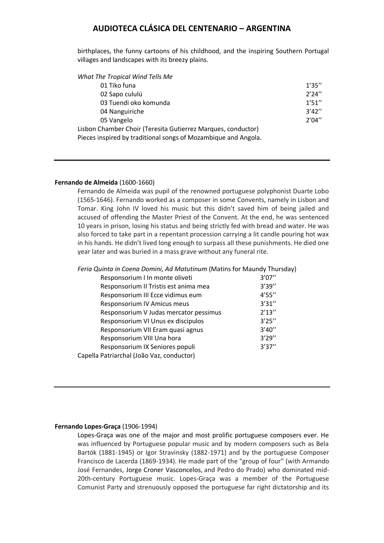birthplaces, the funny cartoons of his childhood, and the inspiring Southern Portugal villages and landscapes with its breezy plains.

| What The Tropical Wind Tells Me                                |        |
|----------------------------------------------------------------|--------|
| 01 Tiko funa                                                   | 1'35'' |
| 02 Sapo cululú                                                 | 2'24'' |
| 03 Tuendi oko komunda                                          | 1'51'' |
| 04 Nanguiriche                                                 | 3'42'' |
| 05 Vangelo                                                     | 2'04'' |
| Lisbon Chamber Choir (Teresita Gutierrez Marques, conductor)   |        |
| Pieces inspired by traditional songs of Mozambique and Angola. |        |
|                                                                |        |

### **Fernando de Almeida** (1600-1660)

Fernando de Almeida was pupil of the renowned portuguese polyphonist Duarte Lobo (1565-1646). Fernando worked as a composer in some Convents, namely in Lisbon and Tomar. King John IV loved his music but this didn't saved him of being jailed and accused of offending the Master Priest of the Convent. At the end, he was sentenced 10 years in prison, losing his status and being strictly fed with bread and water. He was also forced to take part in a repentant procession carrying a lit candle pouring hot wax in his hands. He didn't lived long enough to surpass all these punishments. He died one year later and was buried in a mass grave without any funeral rite.

*Feria Quinta in Coena Domini, Ad Matutinum* (Matins for Maundy Thursday)

| Responsorium I In monte oliveti           | 3'07'' |
|-------------------------------------------|--------|
| Responsorium II Tristis est anima mea     | 3'39'' |
| Responsorium III Ecce vidimus eum         | 4'55'' |
| Responsorium IV Amicus meus               | 3'31'' |
| Responsorium V Judas mercator pessimus    | 2'13'' |
| Responsorium VI Unus ex discipulos        | 3'25'' |
| Responsorium VII Eram quasi agnus         | 3'40'' |
| Responsorium VIII Una hora                | 3'29'' |
| Responsorium IX Seniores populi           | 3'37'' |
| Capella Patriarchal (João Vaz, conductor) |        |
|                                           |        |

#### **Fernando Lopes-Graça** (1906-1994)

Lopes-Graça was one of the major and most prolific portuguese composers ever. He was influenced by Portuguese popular music and by modern composers such as Bela Bartók (1881-1945) or Igor Stravinsky (1882-1971) and by the portuguese Composer Francisco de Lacerda (1869-1934). He made part of the "group of four" (with Armando José Fernandes, Jorge Croner Vasconcelos, and Pedro do Prado) who dominated mid-20th-century Portuguese music. Lopes-Graça was a member of the Portuguese Comunist Party and strenuously opposed the portuguese far right dictatorship and its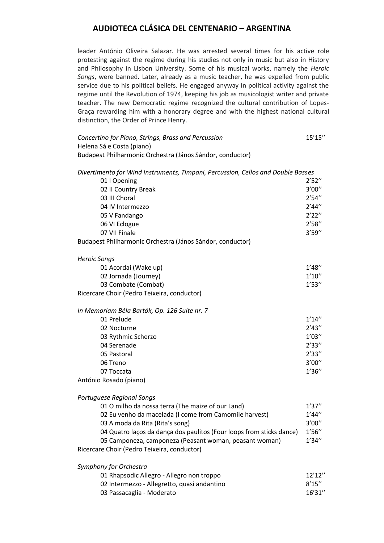leader António Oliveira Salazar. He was arrested several times for his active role protesting against the regime during his studies not only in music but also in History and Philosophy in Lisbon University. Some of his musical works, namely the *Heroic Songs*, were banned. Later, already as a music teacher, he was expelled from public service due to his political beliefs. He engaged anyway in political activity against the regime until the Revolution of 1974, keeping his job as musicologist writer and private teacher. The new Democratic regime recognized the cultural contribution of Lopes-Graça rewarding him with a honorary degree and with the highest national cultural distinction, the Order of Prince Henry.

| Concertino for Piano, Strings, Brass and Percussion<br>Helena Sá e Costa (piano) | 15'15" |
|----------------------------------------------------------------------------------|--------|
| Budapest Philharmonic Orchestra (János Sándor, conductor)                        |        |
| Divertimento for Wind Instruments, Timpani, Percussion, Cellos and Double Basses |        |
| 01   Opening                                                                     | 2'52'' |
| 02 II Country Break                                                              | 3'00'' |
| 03 III Choral                                                                    | 2'54'' |
| 04 IV Intermezzo                                                                 | 2'44'' |
| 05 V Fandango                                                                    | 2'22'' |
| 06 VI Eclogue                                                                    | 2'58'' |
| 07 VII Finale                                                                    | 3'59'' |
| Budapest Philharmonic Orchestra (János Sándor, conductor)                        |        |
| <b>Heroic Songs</b>                                                              |        |
| 01 Acordai (Wake up)                                                             | 1'48'' |
| 02 Jornada (Journey)                                                             | 1'10'' |
| 03 Combate (Combat)                                                              | 1'53'' |
| Ricercare Choir (Pedro Teixeira, conductor)                                      |        |
| In Memoriam Béla Bartók, Op. 126 Suite nr. 7                                     |        |
| 01 Prelude                                                                       | 1'14'' |
| 02 Nocturne                                                                      | 2'43'' |
| 03 Rythmic Scherzo                                                               | 1'03'' |
| 04 Serenade                                                                      | 2'33'' |
| 05 Pastoral                                                                      | 2'33'' |
| 06 Treno                                                                         | 3'00'' |
| 07 Toccata                                                                       | 1'36'' |
| António Rosado (piano)                                                           |        |
| Portuguese Regional Songs                                                        |        |

| 01 O milho da nossa terra (The maize of our Land)                    | 1'37'' |
|----------------------------------------------------------------------|--------|
| 02 Eu venho da macelada (I come from Camomile harvest)               | 1'44'' |
| 03 A moda da Rita (Rita's song)                                      | 3'00'' |
| 04 Quatro laços da dança dos paulitos (Four loops from sticks dance) | 1'56'' |
| 05 Camponeza, camponeza (Peasant woman, peasant woman)               | 1'34'' |
| Ricercare Choir (Pedro Teixeira, conductor)                          |        |

| Symphony for Orchestra                      |         |
|---------------------------------------------|---------|
| 01 Rhapsodic Allegro - Allegro non troppo   | 12'12'' |
| 02 Intermezzo - Allegretto, quasi andantino | 8'15''  |
| 03 Passacaglia - Moderato                   | 16'31'' |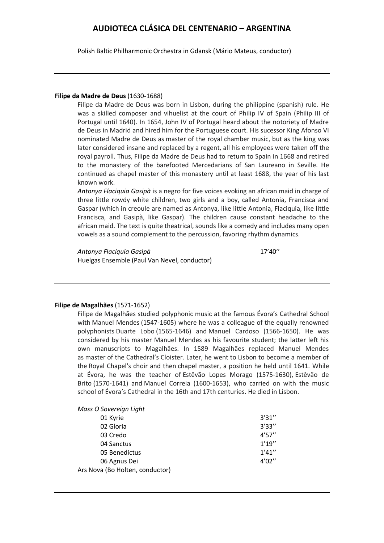Polish Baltic Philharmonic Orchestra in Gdansk (Mário Mateus, conductor)

### **Filipe da Madre de Deus** (1630-1688)

Filipe da Madre de Deus was born in Lisbon, during the philippine (spanish) rule. He was a skilled composer and vihuelist at the court of Philip IV of Spain (Philip III of Portugal until 1640). In 1654, John IV of Portugal heard about the notoriety of Madre de Deus in Madrid and hired him for the Portuguese court. His sucessor King Afonso VI nominated Madre de Deus as master of the royal chamber music, but as the king was later considered insane and replaced by a regent, all his employees were taken off the royal payroll. Thus, Filipe da Madre de Deus had to return to Spain in 1668 and retired to the monastery of the barefooted Mercedarians of San Laureano in Seville. He continued as chapel master of this monastery until at least 1688, the year of his last known work.

*Antonya Flaciquia Gasipà* is a negro for five voices evoking an african maid in charge of three little rowdy white children, two girls and a boy, called Antonia, Francisca and Gaspar (which in creoule are named as Antonya, like little Antonia, Flaciquia, like little Francisca, and Gasipà, like Gaspar). The children cause constant headache to the african maid. The text is quite theatrical, sounds like a comedy and includes many open vowels as a sound complement to the percussion, favoring rhythm dynamics.

*Antonya Flaciquia Gasipà* 17'40'' Huelgas Ensemble (Paul Van Nevel, conductor)

### **Filipe de Magalhães** (1571-1652)

Filipe de Magalhães studied polyphonic music at the famous Évora's Cathedral School with Manuel Mendes (1547-1605) where he was a colleague of the equally renowned polyphonists Duarte Lobo (1565-1646) and Manuel Cardoso (1566-1650). He was considered by his master Manuel Mendes as his favourite student; the latter left his own manuscripts to Magalhães. In 1589 Magalhães replaced Manuel Mendes as master of the Cathedral's Cloister. Later, he went to Lisbon to become a member of the Royal Chapel's choir and then chapel master, a position he held until 1641. While at Évora, he was the teacher of Estêvão Lopes Morago (1575-1630), Estêvão de Brito (1570-1641) and Manuel Correia (1600-1653), who carried on with the music school of Évora's Cathedral in the 16th and 17th centuries. He died in Lisbon.

| Mass O Sovereign Light          |        |
|---------------------------------|--------|
| 01 Kyrie                        | 3'31'' |
| 02 Gloria                       | 3'33'' |
| 03 Credo                        | 4'57'' |
| 04 Sanctus                      | 1'19'' |
| 05 Benedictus                   | 1'41'' |
| 06 Agnus Dei                    | 4'02'' |
| Ars Nova (Bo Holten, conductor) |        |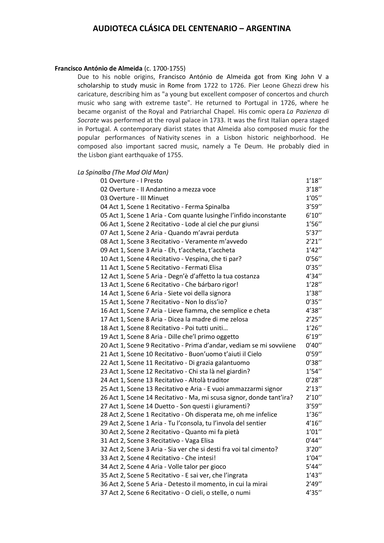### **Francisco António de Almeida** (c. 1700-1755)

Due to his noble origins, Francisco António de Almeida got from King John V a scholarship to study music in Rome from 1722 to 1726. Pier Leone Ghezzi drew his caricature, describing him as "a young but excellent composer of concertos and church music who sang with extreme taste". He returned to Portugal in 1726, where he became organist of the Royal and Patriarchal Chapel. His comic opera *La Pazienza di Socrate* was performed at the royal palace in 1733. It was the first Italian opera staged in Portugal. A contemporary diarist states that Almeida also composed music for the popular performances of Nativity scenes in a Lisbon historic neighborhood. He composed also important sacred music, namely a Te Deum. He probably died in the Lisbon giant earthquake of 1755.

### *La Spinalba (The Mad Old Man)*

| 01 Overture - I Presto                                               | 1'18'' |
|----------------------------------------------------------------------|--------|
| 02 Overture - Il Andantino a mezza voce                              | 3'18'' |
| 03 Overture - III Minuet                                             | 1'05'' |
| 04 Act 1, Scene 1 Recitativo - Ferma Spinalba                        | 3'59'' |
| 05 Act 1, Scene 1 Aria - Com quante lusinghe l'infido inconstante    | 6'10'' |
| 06 Act 1, Scene 2 Recitativo - Lode al ciel che pur giunsi           | 1'56'' |
| 07 Act 1, Scene 2 Aria - Quando m'avrai perduta                      | 5'37'' |
| 08 Act 1, Scene 3 Recitativo - Veramente m'avvedo                    | 2'21'' |
| 09 Act 1, Scene 3 Aria - Eh, t'accheta, t'accheta                    | 1'42'' |
| 10 Act 1, Scene 4 Recitativo - Vespina, che ti par?                  | 0'56'' |
| 11 Act 1, Scene 5 Recitativo - Fermati Elisa                         | 0'35'' |
| 12 Act 1, Scene 5 Aria - Degn'è d'affetto la tua costanza            | 4'34'' |
| 13 Act 1, Scene 6 Recitativo - Che bárbaro rigor!                    | 1'28'' |
| 14 Act 1, Scene 6 Aria - Siete voi della signora                     | 1'38'' |
| 15 Act 1, Scene 7 Recitativo - Non lo diss'io?                       | 0'35'' |
| 16 Act 1, Scene 7 Aria - Lieve fiamma, che semplice e cheta          | 4'38'' |
| 17 Act 1, Scene 8 Aria - Dicea la madre di me zelosa                 | 2'25'' |
| 18 Act 1, Scene 8 Recitativo - Poi tutti uniti                       | 1'26'' |
| 19 Act 1, Scene 8 Aria - Dille che'l primo oggetto                   | 6'19'' |
| 20 Act 1, Scene 9 Recitativo - Prima d'andar, vediam se mi sovviiene | 0'40'' |
| 21 Act 1, Scene 10 Recitativo - Buon'uomo t'aiuti il Cielo           | 0'59'' |
| 22 Act 1, Scene 11 Recitativo - Di grazia galantuomo                 | 0'38'' |
| 23 Act 1, Scene 12 Recitativo - Chi sta là nel giardin?              | 1'54'' |
| 24 Act 1, Scene 13 Recitativo - Altolà traditor                      | 0'28'' |
| 25 Act 1, Scene 13 Recitativo e Aria - E vuoi ammazzarmi signor      | 2'13'' |
| 26 Act 1, Scene 14 Recitativo - Ma, mi scusa signor, donde tant'ira? | 2'10'' |
| 27 Act 1, Scene 14 Duetto - Son questi i giuramenti?                 | 3'59'' |
| 28 Act 2, Scene 1 Recitativo - Oh disperata me, oh me infelice       | 1'36'' |
| 29 Act 2, Scene 1 Aria - Tu l'consola, tu l'invola del sentier       | 4'16'' |
| 30 Act 2, Scene 2 Recitativo - Quanto mi fa pietà                    | 1'01'' |
| 31 Act 2, Scene 3 Recitativo - Vaga Elisa                            | 0'44'' |
| 32 Act 2, Scene 3 Aria - Sia ver che si desti fra voi tal cimento?   | 3'20'' |
| 33 Act 2, Scene 4 Recitativo - Che intesi!                           | 1'04'' |
| 34 Act 2, Scene 4 Aria - Volle talor per gioco                       | 5'44'' |
| 35 Act 2, Scene 5 Recitativo - E sai ver, che l'ingrata              | 1'43'' |
| 36 Act 2, Scene 5 Aria - Detesto il momento, in cui la mirai         | 2'49'' |
| 37 Act 2, Scene 6 Recitativo - O cieli, o stelle, o numi             | 4'35'' |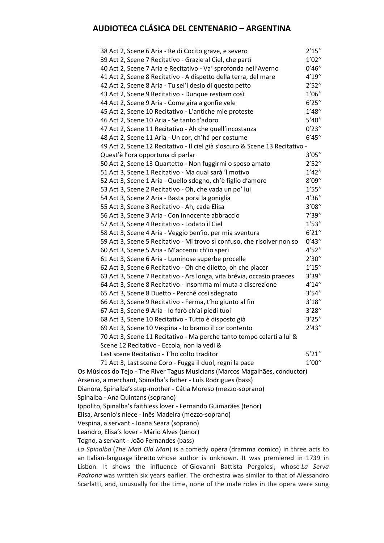| 38 Act 2, Scene 6 Aria - Re di Cocito grave, e severo                            | 2'15'' |
|----------------------------------------------------------------------------------|--------|
| 39 Act 2, Scene 7 Recitativo - Grazie al Ciel, che partì                         | 1'02'' |
| 40 Act 2, Scene 7 Aria e Recitativo - Va' sprofonda nell'Averno                  | 0'46'' |
| 41 Act 2, Scene 8 Recitativo - A dispetto della terra, del mare                  | 4'19'' |
| 42 Act 2, Scene 8 Aria - Tu sei'l desio di questo petto                          | 2'52'' |
| 43 Act 2, Scene 9 Recitativo - Dunque restiam così                               | 1'06'' |
| 44 Act 2, Scene 9 Aria - Come gira a gonfie vele                                 | 6'25'' |
| 45 Act 2, Scene 10 Recitativo - L'antiche mie proteste                           | 1'48'' |
| 46 Act 2, Scene 10 Aria - Se tanto t'adoro                                       | 5'40'' |
| 47 Act 2, Scene 11 Recitativo - Ah che quell'incostanza                          | 0'23'' |
| 48 Act 2, Scene 11 Aria - Un cor, ch'há per costume                              | 6'45'' |
| 49 Act 2, Scene 12 Recitativo - Il ciel già s'oscuro & Scene 13 Recitativo -     |        |
| Quest'è l'ora opportuna di parlar                                                | 3'05'' |
| 50 Act 2, Scene 13 Quartetto - Non fuggirmi o sposo amato                        | 2'52'' |
| 51 Act 3, Scene 1 Recitativo - Ma qual sarà 'l motivo                            | 1'42'' |
| 52 Act 3, Scene 1 Aria - Quello sdegno, ch'è figlio d'amore                      | 8'09'' |
| 53 Act 3, Scene 2 Recitativo - Oh, che vada un po' lui                           | 1'55'' |
| 54 Act 3, Scene 2 Aria - Basta porsi la goniglia                                 | 4'36'' |
| 55 Act 3, Scene 3 Recitativo - Ah, cada Elisa                                    | 3'08'' |
| 56 Act 3, Scene 3 Aria - Con innocente abbraccio                                 | 7'39'' |
| 57 Act 3, Scene 4 Recitativo - Lodato il Ciel                                    | 1'53'' |
| 58 Act 3, Scene 4 Aria - Veggio ben'io, per mia sventura                         | 6'21'' |
| 59 Act 3, Scene 5 Recitativo - Mi trovo sì confuso, che risolver non so          | 0'43'' |
| 60 Act 3, Scene 5 Aria - M'accenni ch'io speri                                   | 4'52'' |
| 61 Act 3, Scene 6 Aria - Luminose superbe procelle                               | 2'30'' |
| 62 Act 3, Scene 6 Recitativo - Oh che diletto, oh che piacer                     | 1'15'' |
| 63 Act 3, Scene 7 Recitativo - Ars longa, vita brévia, occasio praeces           | 3'39'' |
| 64 Act 3, Scene 8 Recitativo - Insomma mi muta a discrezione                     | 4'14'' |
| 65 Act 3, Scene 8 Duetto - Perché così sdegnato                                  | 3'54'' |
| 66 Act 3, Scene 9 Recitativo - Ferma, t'ho giunto al fin                         | 3'18'' |
| 67 Act 3, Scene 9 Aria - Io farò ch'ai piedi tuoi                                | 3'28'' |
| 68 Act 3, Scene 10 Recitativo - Tutto è disposto già                             | 3'25'' |
| 69 Act 3, Scene 10 Vespina - Io bramo il cor contento                            | 2'43'' |
| 70 Act 3, Scene 11 Recitativo - Ma perche tanto tempo celarti a lui &            |        |
| Scene 12 Recitativo - Eccola, non la vedi &                                      |        |
| Last scene Recitativo - T'ho colto traditor                                      | 5'21'' |
| 71 Act 3, Last scene Coro - Fugga il duol, regni la pace                         | 1'00'' |
| Os Músicos do Tejo - The River Tagus Musicians (Marcos Magalhães, conductor)     |        |
| Arsenio, a merchant, Spinalba's father - Luís Rodrigues (bass)                   |        |
| Dianora, Spinalba's step-mother - Cátia Moreso (mezzo-soprano)                   |        |
| Spinalba - Ana Quintans (soprano)                                                |        |
| Ippolito, Spinalba's faithless lover - Fernando Guimarães (tenor)                |        |
| Elisa, Arsenio's niece - Inês Madeira (mezzo-soprano)                            |        |
| Vespina, a servant - Joana Seara (soprano)                                       |        |
| Leandro, Elisa's lover - Mário Alves (tenor)                                     |        |
| Togno, a servant - João Fernandes (bass)                                         |        |
| La Spinalba (The Mad Old Man) is a comedy opera (dramma comico) in three acts to |        |
|                                                                                  |        |

*La Spinalba* (*The Mad Old Man*) is a comedy opera (dramma comico) in three acts to an Italian-language libretto whose author is unknown. It was premiered in 1739 in Lisbon. It shows the influence of Giovanni Battista Pergolesi, whose *La Serva Padrona* was written six years earlier. The orchestra was similar to that of Alessandro Scarlatti, and, unusually for the time, none of the male roles in the opera were sung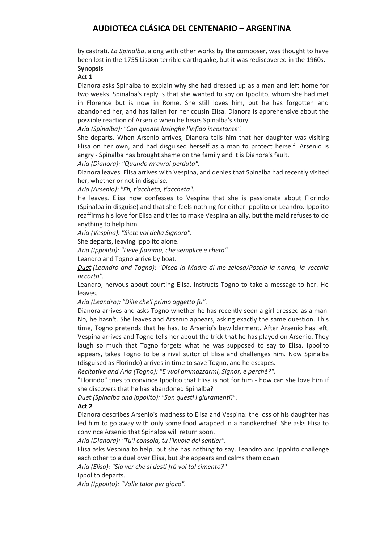by castrati. *La Spinalba*, along with other works by the composer, was thought to have been lost in the 1755 Lisbon terrible earthquake, but it was rediscovered in the 1960s. **Synopsis**

**Act 1**

Dianora asks Spinalba to explain why she had dressed up as a man and left home for two weeks. Spinalba's reply is that she wanted to spy on Ippolito, whom she had met in Florence but is now in Rome. She still loves him, but he has forgotten and abandoned her, and has fallen for her cousin Elisa. Dianora is apprehensive about the possible reaction of Arsenio when he hears Spinalba's story.

*Aria (Spinalba): "Con quante lusinghe l'infido incostante".*

She departs. When Arsenio arrives, Dianora tells him that her daughter was visiting Elisa on her own, and had disguised herself as a man to protect herself. Arsenio is angry - Spinalba has brought shame on the family and it is Dianora's fault.

*Aria (Dianora): "Quando m'avrai perduta".*

Dianora leaves. Elisa arrives with Vespina, and denies that Spinalba had recently visited her, whether or not in disguise.

*Aria (Arsenio): "Eh, t'accheta, t'accheta".*

He leaves. Elisa now confesses to Vespina that she is passionate about Florindo (Spinalba in disguise) and that she feels nothing for either Ippolito or Leandro. Ippolito reaffirms his love for Elisa and tries to make Vespina an ally, but the maid refuses to do anything to help him.

*Aria (Vespina): "Siete voi della Signora".*

She departs, leaving Ippolito alone.

*Aria (Ippolito): "Lieve fiamma, che semplice e cheta".*

Leandro and Togno arrive by boat.

*Duet (Leandro and Togno): "Dicea la Madre di me zelosa/Poscia la nonna, la vecchia accorta".*

Leandro, nervous about courting Elisa, instructs Togno to take a message to her. He leaves.

*Aria (Leandro): "Dille che'l primo oggetto fu".*

Dianora arrives and asks Togno whether he has recently seen a girl dressed as a man. No, he hasn't. She leaves and Arsenio appears, asking exactly the same question. This time, Togno pretends that he has, to Arsenio's bewilderment. After Arsenio has left, Vespina arrives and Togno tells her about the trick that he has played on Arsenio. They laugh so much that Togno forgets what he was supposed to say to Elisa. Ippolito appears, takes Togno to be a rival suitor of Elisa and challenges him. Now Spinalba (disguised as Florindo) arrives in time to save Togno, and he escapes.

*Recitative and Aria (Togno): "E vuoi ammazzarmi, Signor, e perché?".*

"Florindo" tries to convince Ippolito that Elisa is not for him - how can she love him if she discovers that he has abandoned Spinalba?

*Duet (Spinalba and Ippolito): "Son questi i giuramenti?".*

### **Act 2**

Dianora describes Arsenio's madness to Elisa and Vespina: the loss of his daughter has led him to go away with only some food wrapped in a handkerchief. She asks Elisa to convince Arsenio that Spinalba will return soon.

*Aria (Dianora): "Tu'l consola, tu l'invola del sentier".*

Elisa asks Vespina to help, but she has nothing to say. Leandro and Ippolito challenge each other to a duel over Elisa, but she appears and calms them down.

*Aria (Elisa): "Sia ver che si desti frà voi tal cimento?"*

Ippolito departs.

*Aria (Ippolito): "Volle talor per gioco".*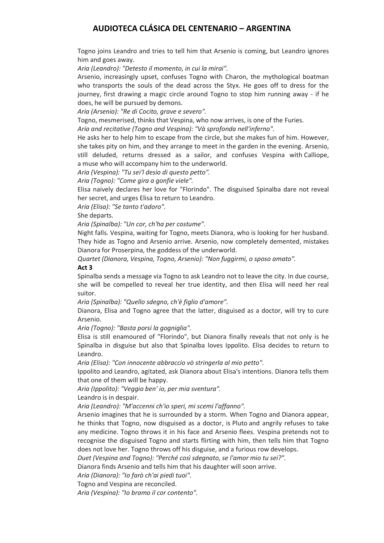Togno joins Leandro and tries to tell him that Arsenio is coming, but Leandro ignores him and goes away.

*Aria (Leandro): "Detesto il momento, in cui la mirai".*

Arsenio, increasingly upset, confuses Togno with Charon, the mythological boatman who transports the souls of the dead across the Styx. He goes off to dress for the journey, first drawing a magic circle around Togno to stop him running away - if he does, he will be pursued by demons.

*Aria (Arsenio): "Re di Cocito, grave e severo".*

Togno, mesmerised, thinks that Vespina, who now arrives, is one of the Furies.

*Aria and recitative (Togno and Vespina): "Và sprofonda nell'inferno".*

He asks her to help him to escape from the circle, but she makes fun of him. However, she takes pity on him, and they arrange to meet in the garden in the evening. Arsenio, still deluded, returns dressed as a sailor, and confuses Vespina with Calliope, a muse who will accompany him to the underworld.

*Aria (Vespina): "Tu sei'l desio di questo petto".* 

*Aria (Togno): "Come gira a gonfie viele".*

Elisa naively declares her love for "Florindo". The disguised Spinalba dare not reveal her secret, and urges Elisa to return to Leandro.

*Aria (Elisa): "Se tanto t'adoro".*

### She departs.

*Aria (Spinalba): "Un cor, ch'ha per costume".*

Night falls. Vespina, waiting for Togno, meets Dianora, who is looking for her husband. They hide as Togno and Arsenio arrive. Arsenio, now completely demented, mistakes Dianora for Proserpina, the goddess of the underworld.

*Quartet (Dianora, Vespina, Togno, Arsenio): "Non fuggirmi, o sposo amato".*

### **Act 3**

Spinalba sends a message via Togno to ask Leandro not to leave the city. In due course, she will be compelled to reveal her true identity, and then Elisa will need her real suitor.

*Aria (Spinalba): "Quello sdegno, ch'è figlio d'amore".*

Dianora, Elisa and Togno agree that the latter, disguised as a doctor, will try to cure Arsenio.

*Aria (Togno): "Basta porsi la gogniglia".*

Elisa is still enamoured of "Florindo", but Dianora finally reveals that not only is he Spinalba in disguise but also that Spinalba loves Ippolito. Elisa decides to return to Leandro.

*Aria (Elisa): "Con innocente abbraccio vò stringerla al mio petto".*

Ippolito and Leandro, agitated, ask Dianora about Elisa's intentions. Dianora tells them that one of them will be happy.

*Aria (Ippolito): "Veggio ben' io, per mia sventura".*

Leandro is in despair.

*Aria (Leandro): "M'accenni ch'io speri, mi scemi l'affanno".*

Arsenio imagines that he is surrounded by a storm. When Togno and Dianora appear, he thinks that Togno, now disguised as a doctor, is Pluto and angrily refuses to take any medicine. Togno throws it in his face and Arsenio flees. Vespina pretends not to recognise the disguised Togno and starts flirting with him, then tells him that Togno does not love her. Togno throws off his disguise, and a furious row develops.

*Duet (Vespina and Togno): "Perché così sdegnato, se l'amor mio tu sei?".*

Dianora finds Arsenio and tells him that his daughter will soon arrive.

*Aria (Dianora): "Io farò ch'ai piedi tuoi".*

Togno and Vespina are reconciled.

*Aria (Vespina): "Io bramo il cor contento".*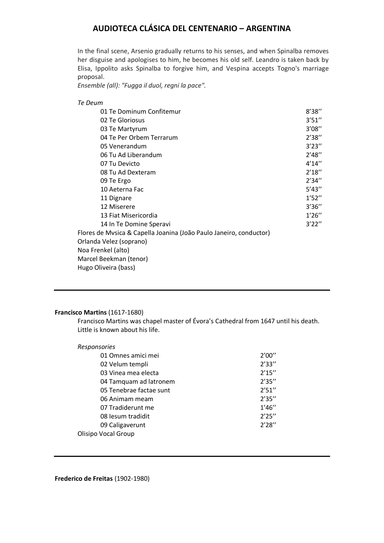In the final scene, Arsenio gradually returns to his senses, and when Spinalba removes her disguise and apologises to him, he becomes his old self. Leandro is taken back by Elisa, Ippolito asks Spinalba to forgive him, and Vespina accepts Togno's marriage proposal.

*Ensemble (all): "Fugga il duol, regni la pace".*

| Te Deum                                                            |        |
|--------------------------------------------------------------------|--------|
| 01 Te Dominum Confitemur                                           | 8'38'' |
| 02 Te Gloriosus                                                    | 3'51'' |
| 03 Te Martyrum                                                     | 3'08'' |
| 04 Te Per Orbem Terrarum                                           | 2'38'' |
| 05 Venerandum                                                      | 3'23'' |
| 06 Tu Ad Liberandum                                                | 2'48'' |
| 07 Tu Devicto                                                      | 4'14'' |
| 08 Tu Ad Dexteram                                                  | 2'18'' |
| 09 Te Ergo                                                         | 2'34'' |
| 10 Aeterna Fac                                                     | 5'43'' |
| 11 Dignare                                                         | 1'52'' |
| 12 Miserere                                                        | 3'36'' |
| 13 Fiat Misericordia                                               | 1'26'' |
| 14 In Te Domine Speravi                                            | 3'22'' |
| Flores de Mysica & Capella Joanina (João Paulo Janeiro, conductor) |        |
| Orlanda Velez (soprano)                                            |        |
| Noa Frenkel (alto)                                                 |        |
| Marcel Beekman (tenor)                                             |        |
| Hugo Oliveira (bass)                                               |        |

### **Francisco Martins** (1617-1680)

Francisco Martins was chapel master of Évora's Cathedral from 1647 until his death. Little is known about his life.

| Responsories               |        |
|----------------------------|--------|
| 01 Omnes amici mei         | 2'00'' |
| 02 Velum templi            | 2'33'' |
| 03 Vinea mea electa        | 2'15'' |
| 04 Tamquam ad latronem     | 2'35'' |
| 05 Tenebrae factae sunt    | 2'51'' |
| 06 Animam meam             | 2'35'' |
| 07 Tradiderunt me          | 1'46'' |
| 08 lesum tradidit          | 2'25'' |
| 09 Caligaverunt            | 2'28'' |
| <b>Olisipo Vocal Group</b> |        |

**Frederico de Freitas** (1902-1980)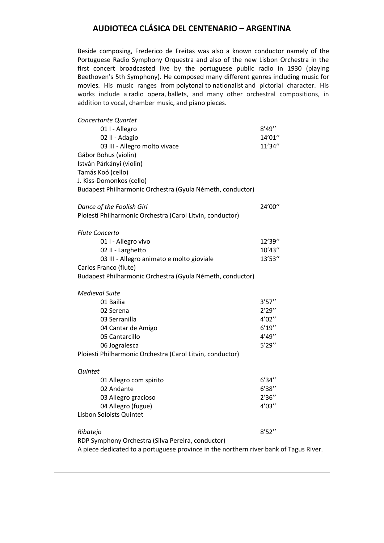Beside composing, Frederico de Freitas was also a known conductor namely of the Portuguese Radio Symphony Orquestra and also of the new Lisbon Orchestra in the first concert broadcasted live by the portuguese public radio in 1930 (playing Beethoven's 5th Symphony). He composed many different genres including music for movies. His music ranges from polytonal to nationalist and pictorial character. His works include a radio opera, ballets, and many other orchestral compositions, in addition to vocal, chamber music, and piano pieces.

| Concertante Quartet                                                                   |        |
|---------------------------------------------------------------------------------------|--------|
| 01 I - Allegro                                                                        | 8'49'' |
| 02 II - Adagio                                                                        | 14'01" |
| 03 III - Allegro molto vivace                                                         | 11'34" |
| Gábor Bohus (violin)                                                                  |        |
| István Párkányi (violin)                                                              |        |
| Tamás Koó (cello)                                                                     |        |
| J. Kiss-Domonkos (cello)                                                              |        |
| Budapest Philharmonic Orchestra (Gyula Németh, conductor)                             |        |
| Dance of the Foolish Girl                                                             | 24'00" |
| Ploiesti Philharmonic Orchestra (Carol Litvin, conductor)                             |        |
| <b>Flute Concerto</b>                                                                 |        |
| 01 I - Allegro vivo                                                                   | 12'39" |
| 02 II - Larghetto                                                                     | 10'43" |
| 03 III - Allegro animato e molto gioviale                                             | 13'53" |
| Carlos Franco (flute)                                                                 |        |
| Budapest Philharmonic Orchestra (Gyula Németh, conductor)                             |        |
| <b>Medieval Suite</b>                                                                 |        |
| 01 Bailia                                                                             | 3'57'' |
| 02 Serena                                                                             | 2'29'' |
| 03 Serranilla                                                                         | 4'02'' |
| 04 Cantar de Amigo                                                                    | 6'19'' |
| 05 Cantarcillo                                                                        | 4'49"  |
| 06 Jogralesca                                                                         | 5'29'' |
| Ploiesti Philharmonic Orchestra (Carol Litvin, conductor)                             |        |
| Quintet                                                                               |        |
| 01 Allegro com spirito                                                                | 6'34'' |
| 02 Andante                                                                            | 6'38'' |
| 03 Allegro gracioso                                                                   | 2'36'' |
| 04 Allegro (fugue)                                                                    | 4'03'' |
| Lisbon Soloists Quintet                                                               |        |
| Ribatejo                                                                              | 8'52'' |
| RDP Symphony Orchestra (Silva Pereira, conductor)                                     |        |
| A piece dedicated to a portuguese province in the northern river bank of Tagus River. |        |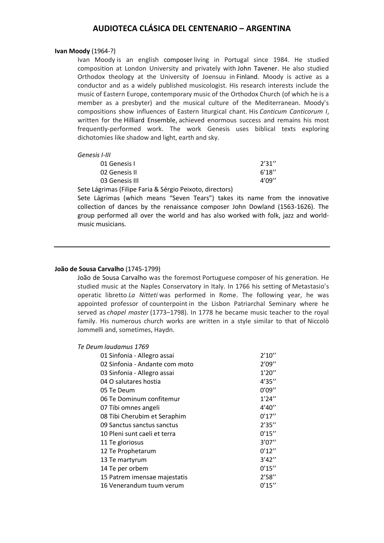#### **Ivan Moody** (1964-?)

Ivan Moody is an english composer living in Portugal since 1984. He studied composition at London University and privately with John Tavener. He also studied Orthodox theology at the University of Joensuu in Finland. Moody is active as a conductor and as a widely published musicologist. His research interests include the music of Eastern Europe, contemporary music of the Orthodox Church (of which he is a member as a presbyter) and the musical culture of the Mediterranean. Moody's compositions show influences of Eastern liturgical chant. His *Canticum Canticorum I*, written for the Hilliard Ensemble, achieved enormous success and remains his most frequently-performed work. The work Genesis uses biblical texts exploring dichotomies like shadow and light, earth and sky.

#### *Genesis I-III*

| 01 Genesis I                                                                                                   | 2'31'' |
|----------------------------------------------------------------------------------------------------------------|--------|
| 02 Genesis II                                                                                                  | 6'18'' |
| 03 Genesis III                                                                                                 | 4'09'' |
| . A continuous contract of the contract of the contract of the contract of the contract of the contract of the |        |

Sete Lágrimas (Filipe Faria & Sérgio Peixoto, directors)

Sete Lágrimas (which means "Seven Tears") takes its name from the innovative collection of dances by the renaissance composer John Dowland (1563-1626). The group performed all over the world and has also worked with folk, jazz and worldmusic musicians.

#### **João de Sousa Carvalho** (1745-1799)

João de Sousa Carvalho was the foremost Portuguese composer of his generation. He studied music at the Naples Conservatory in Italy. In 1766 his setting of Metastasio's operatic libretto *La Nitteti* was performed in Rome. The following year, he was appointed professor of counterpoint in the Lisbon Patriarchal Seminary where he served as *chapel master* (1773–1798). In 1778 he became music teacher to the royal family. His numerous church works are written in a style similar to that of Niccolò Jommelli and, sometimes, Haydn.

#### *Te Deum laudamus 1769*

| 01 Sinfonia - Allegro assai    | 2'10'' |
|--------------------------------|--------|
| 02 Sinfonia - Andante com moto | 2'09'' |
| 03 Sinfonia - Allegro assai    | 1'20'' |
| 04 O salutares hostia          | 4'35'' |
| 05 Te Deum                     | 0'09'' |
| 06 Te Dominum confitemur       | 1'24'' |
| 07 Tibi omnes angeli           | 4'40'' |
| 08 Tibi Cherubim et Seraphim   | 0'17'' |
| 09 Sanctus sanctus sanctus     | 2'35'' |
| 10 Pleni sunt caeli et terra   | 0'15'' |
| 11 Te gloriosus                | 3'07'' |
| 12 Te Prophetarum              | 0'12'' |
| 13 Te martyrum                 | 3'42'' |
| 14 Te per orbem                | 0'15'' |
| 15 Patrem imensae majestatis   | 2'58'' |
| 16 Venerandum tuum verum       | 0'15'' |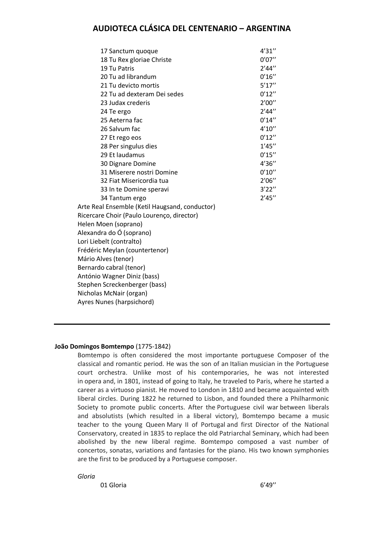| 17 Sanctum quoque                              | 4'31'' |
|------------------------------------------------|--------|
| 18 Tu Rex gloriae Christe                      | 0'07'' |
| 19 Tu Patris                                   | 2'44'' |
| 20 Tu ad librandum                             | 0'16'' |
| 21 Tu devicto mortis                           | 5'17'' |
| 22 Tu ad dexteram Dei sedes                    | 0'12'' |
| 23 Judax crederis                              | 2'00'' |
| 24 Te ergo                                     | 2'44'' |
| 25 Aeterna fac                                 | 0'14'' |
| 26 Salvum fac                                  | 4'10'' |
| 27 Et rego eos                                 | 0'12'' |
| 28 Per singulus dies                           | 1'45'' |
| 29 Et laudamus                                 | 0'15'' |
| 30 Dignare Domine                              | 4'36'' |
| 31 Miserere nostri Domine                      | 0'10'' |
| 32 Fiat Misericordia tua                       | 2'06'' |
| 33 In te Domine speravi                        | 3'22'' |
| 34 Tantum ergo                                 | 2'45'' |
| Arte Real Ensemble (Ketil Haugsand, conductor) |        |
| Ricercare Choir (Paulo Lourenço, director)     |        |
| Helen Moen (soprano)                           |        |
| Alexandra do Ó (soprano)                       |        |
| Lori Liebelt (contralto)                       |        |
| Frédéric Meylan (countertenor)                 |        |
| Mário Alves (tenor)                            |        |
| Bernardo cabral (tenor)                        |        |
| António Wagner Diniz (bass)                    |        |
| Stephen Screckenberger (bass)                  |        |
| Nicholas McNair (organ)                        |        |
| Ayres Nunes (harpsichord)                      |        |
|                                                |        |

### **João Domingos Bomtempo** (1775-1842)

Bomtempo is often considered the most importante portuguese Composer of the classical and romantic period. He was the son of an Italian musician in the Portuguese court orchestra. Unlike most of his contemporaries, he was not interested in opera and, in 1801, instead of going to Italy, he traveled to Paris, where he started a career as a virtuoso pianist. He moved to London in 1810 and became acquainted with liberal circles. During 1822 he returned to Lisbon, and founded there a Philharmonic Society to promote public concerts. After the Portuguese civil war between liberals and absolutists (which resulted in a liberal victory), Bomtempo became a music teacher to the young Queen Mary II of Portugal and first Director of the National Conservatory, created in 1835 to replace the old Patriarchal Seminary, which had been abolished by the new liberal regime. Bomtempo composed a vast number of concertos, sonatas, variations and fantasies for the piano. His two known symphonies are the first to be produced by a Portuguese composer.

*Gloria*

01 Gloria 6'49"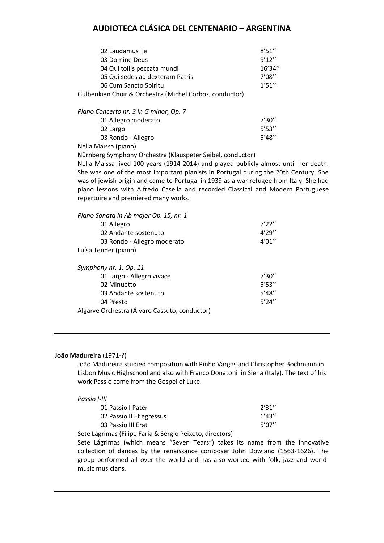| 02 Laudamus Te                                          | 8'51'' |
|---------------------------------------------------------|--------|
| 03 Domine Deus                                          | 9'12'' |
| 04 Qui tollis peccata mundi                             | 16'34" |
| 05 Qui sedes ad dexteram Patris                         | 7'08'' |
| 06 Cum Sancto Spiritu                                   | 1'51'' |
| Gulbenkian Choir & Orchestra (Michel Corboz, conductor) |        |
|                                                         |        |

| Piano Concerto nr. 3 in G minor, Op. 7 |        |
|----------------------------------------|--------|
| 01 Allegro moderato                    | 7'30'' |
| 02 Largo                               | 5'53'' |
| 03 Rondo - Allegro                     | 5'48'' |
|                                        |        |

Nella Maissa (piano)

Nürnberg Symphony Orchestra (Klauspeter Seibel, conductor)

Nella Maissa lived 100 years (1914-2014) and played publicly almost until her death. She was one of the most important pianists in Portugal during the 20th Century. She was of jewish origin and came to Portugal in 1939 as a war refugee from Italy. She had piano lessons with Alfredo Casella and recorded Classical and Modern Portuguese repertoire and premiered many works.

| Piano Sonata in Ab major Op. 15, nr. 1        |        |
|-----------------------------------------------|--------|
| 01 Allegro                                    | 7'22'' |
| 02 Andante sostenuto                          | 4'29'' |
| 03 Rondo - Allegro moderato                   | 4'01'' |
| Luísa Tender (piano)                          |        |
|                                               |        |
| Symphony nr. 1, Op. 11                        |        |
| 01 Largo - Allegro vivace                     | 7'30'' |
| 02 Minuetto                                   | 5'53'' |
| 03 Andante sostenuto                          | 5'48'' |
| 04 Presto                                     | 5'24'' |
| Algarve Orchestra (Álvaro Cassuto, conductor) |        |

### **João Madureira** (1971-?)

João Madureira studied composition with Pinho Vargas and Christopher Bochmann in Lisbon Music Highschool and also with Franco Donatoni in Siena (Italy). The text of his work Passio come from the Gospel of Luke.

| Passio I-III             |        |
|--------------------------|--------|
| 01 Passio I Pater        | 2'31'' |
| 02 Passio II Et egressus | 6'43'' |
| 03 Passio III Erat       | 5'07"  |

Sete Lágrimas (Filipe Faria & Sérgio Peixoto, directors)

Sete Lágrimas (which means "Seven Tears") takes its name from the innovative collection of dances by the renaissance composer John Dowland (1563-1626). The group performed all over the world and has also worked with folk, jazz and worldmusic musicians.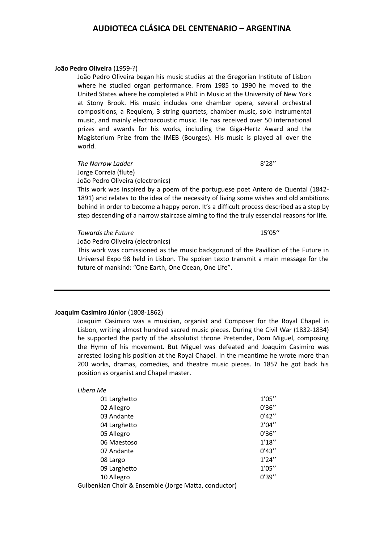#### **João Pedro Oliveira** (1959-?)

João Pedro Oliveira began his music studies at the Gregorian Institute of Lisbon where he studied organ performance. From 1985 to 1990 he moved to the United States where he completed a PhD in Music at the University of New York at Stony Brook. His music includes one chamber opera, several orchestral compositions, a Requiem, 3 string quartets, chamber music, solo instrumental music, and mainly electroacoustic music. He has received over 50 international prizes and awards for his works, including the Giga-Hertz Award and the Magisterium Prize from the IMEB (Bourges). His music is played all over the world.

**The Narrow Ladder** 8'28" Jorge Correia (flute) João Pedro Oliveira (electronics)

This work was inspired by a poem of the portuguese poet Antero de Quental (1842- 1891) and relates to the idea of the necessity of living some wishes and old ambitions behind in order to become a happy peron. It's a difficult process described as a step by step descending of a narrow staircase aiming to find the truly essencial reasons for life.

#### *Towards the Future* 15'05''

João Pedro Oliveira (electronics)

This work was comissioned as the music backgorund of the Pavillion of the Future in Universal Expo 98 held in Lisbon. The spoken texto transmit a main message for the future of mankind: "One Earth, One Ocean, One Life".

#### **Joaquim Casimiro Júnior** (1808-1862)

Joaquim Casimiro was a musician, organist and Composer for the Royal Chapel in Lisbon, writing almost hundred sacred music pieces. During the Civil War (1832-1834) he supported the party of the absolutist throne Pretender, Dom Miguel, composing the Hymn of his movement. But Miguel was defeated and Joaquim Casimiro was arrested losing his position at the Royal Chapel. In the meantime he wrote more than 200 works, dramas, comedies, and theatre music pieces. In 1857 he got back his position as organist and Chapel master.

#### *Libera Me*

| 01 Larghetto                                         | 1'05'' |
|------------------------------------------------------|--------|
| 02 Allegro                                           | 0'36'' |
| 03 Andante                                           | 0'42'' |
| 04 Larghetto                                         | 2'04'' |
| 05 Allegro                                           | 0'36'' |
| 06 Maestoso                                          | 1'18'' |
| 07 Andante                                           | 0'43'' |
| 08 Largo                                             | 1'24'' |
| 09 Larghetto                                         | 1'05'' |
| 10 Allegro                                           | 0'39'' |
| Gulbenkian Choir & Ensemble (Jorge Matta, conductor) |        |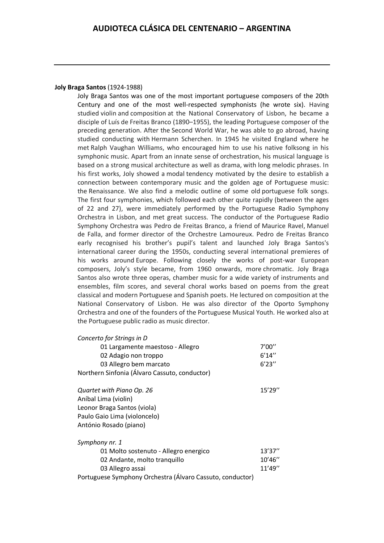### **Joly Braga Santos** (1924-1988)

Joly Braga Santos was one of the most important portuguese composers of the 20th Century and one of the most well-respected symphonists (he wrote six). Having studied violin and composition at the National Conservatory of Lisbon, he became a disciple of Luís de Freitas Branco (1890–1955), the leading Portuguese composer of the preceding generation. After the Second World War, he was able to go abroad, having studied conducting with Hermann Scherchen. In 1945 he visited England where he met Ralph Vaughan Williams, who encouraged him to use his native folksong in his symphonic music. Apart from an innate sense of orchestration, his musical language is based on a strong musical architecture as well as drama, with long melodic phrases. In his first works, Joly showed a modal tendency motivated by the desire to establish a connection between contemporary music and the golden age of Portuguese music: the Renaissance. We also find a melodic outline of some old portuguese folk songs. The first four symphonies, which followed each other quite rapidly (between the ages of 22 and 27), were immediately performed by the Portuguese Radio Symphony Orchestra in Lisbon, and met great success. The conductor of the Portuguese Radio Symphony Orchestra was Pedro de Freitas Branco, a friend of Maurice Ravel, Manuel de Falla, and former director of the Orchestre Lamoureux. Pedro de Freitas Branco early recognised his brother's pupil's talent and launched Joly Braga Santos's international career during the 1950s, conducting several international premieres of his works around Europe. Following closely the works of post-war European composers, Joly's style became, from 1960 onwards, more chromatic. Joly Braga Santos also wrote three operas, chamber music for a wide variety of instruments and ensembles, film scores, and several choral works based on poems from the great classical and modern Portuguese and Spanish poets. He lectured on composition at the National Conservatory of Lisbon. He was also director of the Oporto Symphony Orchestra and one of the founders of the Portuguese Musical Youth. He worked also at the Portuguese public radio as music director.

| Concerto for Strings in D                     |         |
|-----------------------------------------------|---------|
| 01 Largamente maestoso - Allegro              | 7'00''  |
| 02 Adagio non troppo                          | 6'14''  |
| 03 Allegro bem marcato                        | 6'23''  |
| Northern Sinfonia (Álvaro Cassuto, conductor) |         |
| Quartet with Piano Op. 26                     | 15'29'' |
| Aníbal Lima (violin)                          |         |
| Leonor Braga Santos (viola)                   |         |
| Paulo Gaio Lima (violoncelo)                  |         |
| António Rosado (piano)                        |         |
| Symphony nr. 1                                |         |
| 01 Molto sostenuto - Allegro energico         | 13'37'' |

| 01 Molto sostenuto - Allegro energico                     | 13'37'' |
|-----------------------------------------------------------|---------|
| 02 Andante, molto tranguillo                              | 10'46'' |
| 03 Allegro assai                                          | 11'49'' |
| Portuguese Symphony Orchestra (Álvaro Cassuto, conductor) |         |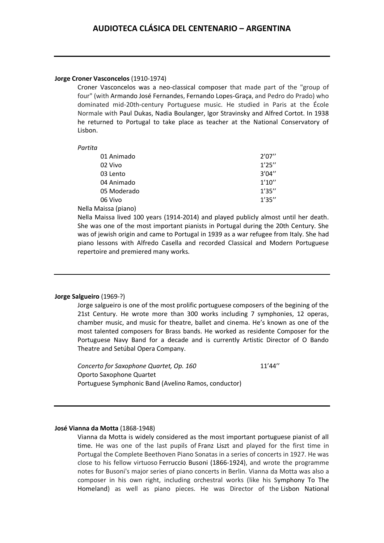### **Jorge Croner Vasconcelos** (1910-1974)

Croner Vasconcelos was a neo-classical composer that made part of the "group of four" (with Armando José Fernandes, Fernando Lopes-Graça, and Pedro do Prado) who dominated mid-20th-century Portuguese music. He studied in Paris at the École Normale with Paul Dukas, Nadia Boulanger, Igor Stravinsky and Alfred Cortot. In 1938 he returned to Portugal to take place as teacher at the National Conservatory of Lisbon.

*Partita*

| 01 Animado  | 2'07'' |
|-------------|--------|
| 02 Vivo     | 1'25'' |
| 03 Lento    | 3'04'' |
| 04 Animado  | 1'10'' |
| 05 Moderado | 1'35'' |
| 06 Vivo     | 1'35'' |
|             |        |

Nella Maissa (piano)

Nella Maissa lived 100 years (1914-2014) and played publicly almost until her death. She was one of the most important pianists in Portugal during the 20th Century. She was of jewish origin and came to Portugal in 1939 as a war refugee from Italy. She had piano lessons with Alfredo Casella and recorded Classical and Modern Portuguese repertoire and premiered many works.

### **Jorge Salgueiro** (1969-?)

Jorge salgueiro is one of the most prolific portuguese composers of the begining of the 21st Century. He wrote more than 300 works including 7 symphonies, 12 operas, chamber music, and music for theatre, ballet and cinema. He's known as one of the most talented composers for Brass bands. He worked as residente Composer for the Portuguese Navy Band for a decade and is currently Artistic Director of O Bando Theatre and Setúbal Opera Company.

Concerto for Saxophone Quartet, Op. 160 11'44" Oporto Saxophone Quartet Portuguese Symphonic Band (Avelino Ramos, conductor)

### **José Vianna da Motta** (1868-1948)

Vianna da Motta is widely considered as the most important portuguese pianist of all time. He was one of the last pupils of Franz Liszt and played for the first time in Portugal the Complete Beethoven Piano Sonatas in a series of concerts in 1927. He was close to his fellow virtuoso Ferruccio Busoni (1866-1924), and wrote the programme notes for Busoni's major series of piano concerts in Berlin. Vianna da Motta was also a composer in his own right, including orchestral works (like his Symphony To The Homeland) as well as piano pieces. He was Director of the Lisbon National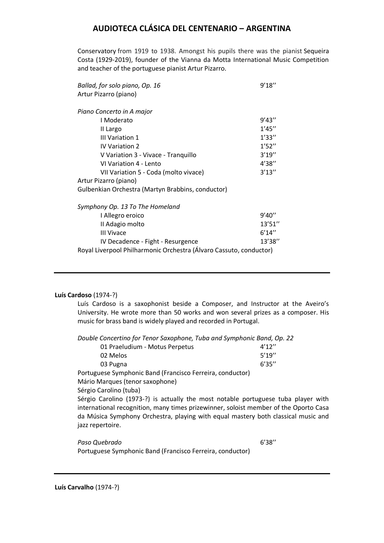Conservatory from 1919 to 1938. Amongst his pupils there was the pianist Sequeira Costa (1929-2019), founder of the Vianna da Motta International Music Competition and teacher of the portuguese pianist Artur Pizarro.

| Ballad, for solo piano, Op. 16                                     | 9'18''  |
|--------------------------------------------------------------------|---------|
| Artur Pizarro (piano)                                              |         |
| Piano Concerto in A major                                          |         |
| I Moderato                                                         | 9'43''  |
| II Largo                                                           | 1'45''  |
| III Variation 1                                                    | 1'33''  |
| <b>IV Variation 2</b>                                              | 1'52''  |
| V Variation 3 - Vivace - Tranquillo                                | 3'19''  |
| VI Variation 4 - Lento                                             | 4'38"   |
| VII Variation 5 - Coda (molto vivace)                              | 3'13''  |
| Artur Pizarro (piano)                                              |         |
| Gulbenkian Orchestra (Martyn Brabbins, conductor)                  |         |
| Symphony Op. 13 To The Homeland                                    |         |
| I Allegro eroico                                                   | 9'40''  |
| II Adagio molto                                                    | 13'51'' |
| <b>III Vivace</b>                                                  | 6'14''  |
| IV Decadence - Fight - Resurgence                                  | 13'38"  |
| Royal Liverpool Philharmonic Orchestra (Álvaro Cassuto, conductor) |         |

### **Luís Cardoso** (1974-?)

Luís Cardoso is a saxophonist beside a Composer, and Instructor at the Aveiro's University. He wrote more than 50 works and won several prizes as a composer. His music for brass band is widely played and recorded in Portugal.

*Double Concertino for Tenor Saxophone, Tuba and Symphonic Band, Op. 22*

| 01 Praeludium - Motus Perpetus                                                       | 4'12'' |
|--------------------------------------------------------------------------------------|--------|
| 02 Melos                                                                             | 5'19'' |
| 03 Pugna                                                                             | 6'35'' |
| Portuguese Symphonic Band (Francisco Ferreira, conductor)                            |        |
| Mário Marques (tenor saxophone)                                                      |        |
| Sérgio Carolino (tuba)                                                               |        |
| Sérgio Carolino (1973-?) is actually the most notable portuguese tuba player with    |        |
| international recognition, many times prizewinner, soloist member of the Oporto Casa |        |
| da Música Symphony Orchestra, playing with equal mastery both classical music and    |        |

jazz repertoire.

*Paso Quebrado* 6'38''

Portuguese Symphonic Band (Francisco Ferreira, conductor)

**Luís Carvalho** (1974-?)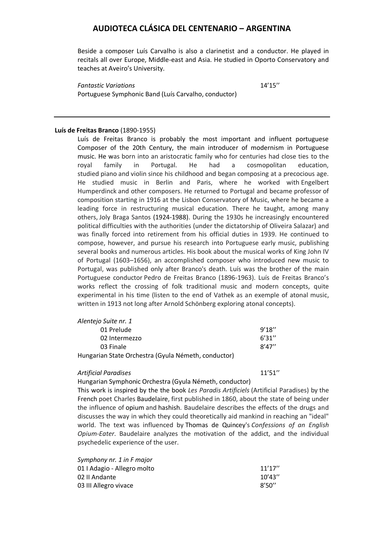Beside a composer Luís Carvalho is also a clarinetist and a conductor. He played in recitals all over Europe, Middle-east and Asia. He studied in Oporto Conservatory and teaches at Aveiro's University.

*Fantastic Variations* 14'15'' Portuguese Symphonic Band (Luís Carvalho, conductor)

### **Luís de Freitas Branco** (1890-1955)

Luís de Freitas Branco is probably the most important and influent portuguese Composer of the 20th Century, the main introducer of modernism in Portuguese music. He was born into an aristocratic family who for centuries had close ties to the royal family in Portugal. He had a cosmopolitan education, studied piano and violin since his childhood and began composing at a precocious age. He studied music in Berlin and Paris, where he worked with Engelbert Humperdinck and other composers. He returned to Portugal and became professor of composition starting in 1916 at the Lisbon Conservatory of Music, where he became a leading force in restructuring musical education. There he taught, among many others, Joly Braga Santos (1924-1988). During the 1930s he increasingly encountered political difficulties with the authorities (under the dictatorship of Oliveira Salazar) and was finally forced into retirement from his official duties in 1939. He continued to compose, however, and pursue his research into Portuguese early music, publishing several books and numerous articles. His book about the musical works of King John IV of Portugal (1603–1656), an accomplished composer who introduced new music to Portugal, was published only after Branco's death. Luís was the brother of the main Portuguese conductor Pedro de Freitas Branco (1896-1963). Luís de Freitas Branco's works reflect the crossing of folk traditional music and modern concepts, quite experimental in his time (listen to the end of Vathek as an exemple of atonal music, written in 1913 not long after Arnold Schönberg exploring atonal concepts).

| Alentejo Suite nr. 1                                |        |
|-----------------------------------------------------|--------|
| 01 Prelude                                          | 9'18'' |
| 02 Intermezzo                                       | 6'31'' |
| 03 Finale                                           | 8'47'' |
| Hungarian State Orchestra (Gyula Németh, conductor) |        |

### *Artificial Paradises* 11'51''

Hungarian Symphonic Orchestra (Gyula Németh, conductor)

This work is inspired by the the book *Les Paradis Artificiels* (Artificial Paradises) by the French poet Charles Baudelaire, first published in 1860, about the state of being under the influence of opium and hashish. Baudelaire describes the effects of the drugs and discusses the way in which they could theoretically aid mankind in reaching an "ideal" world. The text was influenced by Thomas de Quincey's *Confessions of an English Opium-Eater*. Baudelaire analyzes the motivation of the addict, and the individual psychedelic experience of the user.

| Symphony nr. 1 in F major   |         |
|-----------------------------|---------|
| 01   Adagio - Allegro molto | 11'17'' |
| 02 II Andante               | 10'43'' |
| 03 III Allegro vivace       | 8'50''  |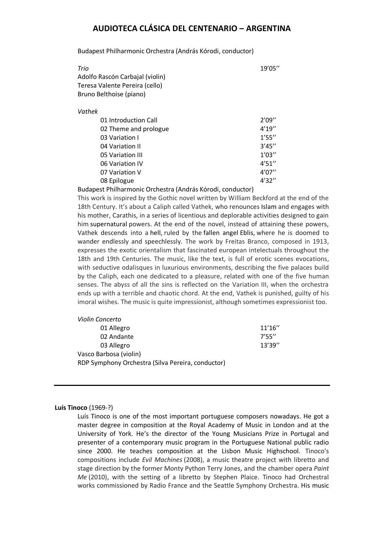Budapest Philharmonic Orchestra (András Kórodi, conductor)

| Trio                            | 19'05'' |
|---------------------------------|---------|
| Adolfo Rascón Carbajal (violin) |         |
| Teresa Valente Pereira (cello)  |         |
| Bruno Belthoise (piano)         |         |
|                                 |         |

### *Vathek*

| 01 Introduction Call  | 2'09'' |
|-----------------------|--------|
| 02 Theme and prologue | 4'19'' |
| 03 Variation I        | 1'55'' |
| 04 Variation II       | 3'45'' |
| 05 Variation III      | 1'03'' |
| 06 Variation IV       | 4'51'' |
| 07 Variation V        | 4'07'' |
| 08 Epilogue           | 4'32'' |

Budapest Philharmonic Orchestra (András Kórodi, conductor)

This work is inspired by the Gothic novel written by William Beckford at the end of the 18th Century. It's about a Caliph called Vathek, who renounces Islam and engages with his mother, Carathis, in a series of licentious and deplorable activities designed to gain him supernatural powers. At the end of the novel, instead of attaining these powers, Vathek descends into a hell, ruled by the fallen angel Eblis, where he is doomed to wander endlessly and speechlessly. The work by Freitas Branco, composed in 1913, expresses the exotic orientalism that fascinated european intelectuals throughout the 18th and 19th Centuries. The music, like the text, is full of erotic scenes evocations, with seductive odalisques in luxurious environments, describing the five palaces build by the Caliph, each one dedicated to a pleasure, related with one of the five human senses. The abyss of all the sins is reflected on the Variation III, when the orchestra ends up with a terrible and chaotic chord. At the end, Vathek is punished, guilty of his imoral wishes. The music is quite impressionist, although sometimes expressionist too.

| Violin Concerto                                   |         |
|---------------------------------------------------|---------|
| 01 Allegro                                        | 11'16'' |
| 02 Andante                                        | 7'55''  |
| 03 Allegro                                        | 13'39'' |
| Vasco Barbosa (violin)                            |         |
| RDP Symphony Orchestra (Silva Pereira, conductor) |         |

### **Luís Tinoco** (1969-?)

Luís Tinoco is one of the most important portuguese composers nowadays. He got a master degree in composition at the Royal Academy of Music in London and at the University of York. He's the director of the Young Musicians Prize in Portugal and presenter of a contemporary music program in the Portuguese National public radio since 2000. He teaches composition at the Lisbon Music Highschool. Tinoco's compositions include *Evil Machines* (2008), a music theatre project with libretto and stage direction by the former Monty Python Terry Jones, and the chamber opera *Paint Me* (2010), with the setting of a libretto by Stephen Plaice. Tinoco had Orchestral works commissioned by Radio France and the Seattle Symphony Orchestra. His music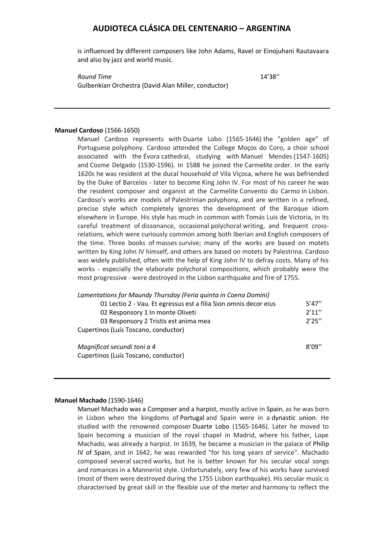is influenced by different composers like John Adams, Ravel or Einojuhani Rautavaara and also by jazz and world music.

*Round Time* 14'38'' Gulbenkian Orchestra (David Alan Miller, conductor)

### **Manuel Cardoso** (1566-1650)

Manuel Cardoso represents with Duarte Lobo (1565-1646) the "golden age" of Portuguese polyphony. Cardoso attended the College Moços do Coro, a choir school associated with the Évora cathedral, studying with Manuel Mendes (1547-1605) and Cosme Delgado (1530-1596). In 1588 he joined the Carmelite order. In the early 1620s he was resident at the ducal household of Vila Viçosa, where he was befriended by the Duke of Barcelos - later to become King John IV. For most of his career he was the resident composer and organist at the Carmelite Convento do Carmo in Lisbon. Cardoso's works are models of Palestrinian polyphony, and are written in a refined, precise style which completely ignores the development of the Baroque idiom elsewhere in Europe. His style has much in common with Tomás Luis de Victoria, in its careful treatment of dissonance, occasional polychoral writing, and frequent crossrelations, which were curiously common among both Iberian and English composers of the time. Three books of masses survive; many of the works are based on motets written by King John IV himself, and others are based on motets by Palestrina. Cardoso was widely published, often with the help of King John IV to defray costs. Many of his works - especially the elaborate polychoral compositions, which probably were the most progressive - were destroyed in the Lisbon earthquake and fire of 1755.

| Lamentations for Maundy Thursday (Feria quinta in Coena Domini)  |        |
|------------------------------------------------------------------|--------|
| 01 Lectio 2 - Vau. Et egressus est a filia Sion omnis decor eius | 5'47'' |
| 02 Responsory 1 In monte Oliveti                                 | 2'11'' |
| 03 Responsory 2 Tristis est anima mea                            | 2'25'' |
| Cupertinos (Luís Toscano, conductor)                             |        |
|                                                                  |        |
| Magnificat secundi toni a 4                                      | 8'09'' |
| Cupertinos (Luís Toscano, conductor)                             |        |

### **Manuel Machado** (1590-1646)

Manuel Machado was a Composer and a harpist, mostly active in Spain, as he was born in Lisbon when the kingdoms of Portugal and Spain were in a dynastic union. He studied with the renowned composer Duarte Lobo (1565-1646). Later he moved to Spain becoming a musician of the royal chapel in Madrid, where his father, Lope Machado, was already a harpist. In 1639, he became a musician in the palace of Philip IV of Spain, and in 1642, he was rewarded "for his long years of service". Machado composed several sacred works, but he is better known for his secular vocal songs and romances in a Mannerist style. Unfortunately, very few of his works have survived (most of them were destroyed during the 1755 Lisbon earthquake). His secular music is characterised by great skill in the flexible use of the meter and harmony to reflect the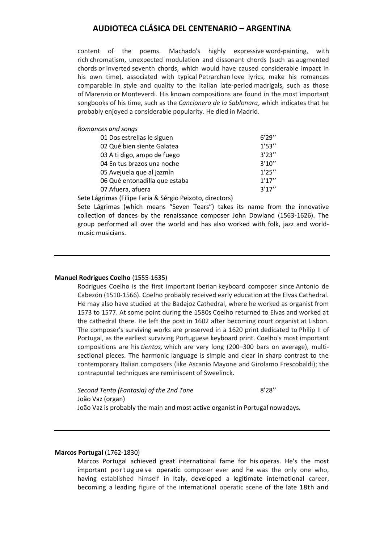content of the poems. Machado's highly expressive word-painting, with rich chromatism, unexpected modulation and dissonant chords (such as augmented chords or inverted seventh chords, which would have caused considerable impact in his own time), associated with typical Petrarchan love lyrics, make his romances comparable in style and quality to the Italian late-period madrigals, such as those of Marenzio or Monteverdi. His known compositions are found in the most important songbooks of his time, such as the *Cancionero de la Sablonara*, which indicates that he probably enjoyed a considerable popularity. He died in Madrid.

*Romances and songs*

| 01 Dos estrellas le siguen    | 6'29'' |
|-------------------------------|--------|
| 02 Qué bien siente Galatea    | 1'53'' |
| 03 A ti digo, ampo de fuego   | 3'23'' |
| 04 En tus brazos una noche    | 3'10'' |
| 05 Avejuela que al jazmín     | 1'25'' |
| 06 Qué entonadilla que estaba | 1'17'' |
| 07 Afuera, afuera             | 3'17'' |

Sete Lágrimas (Filipe Faria & Sérgio Peixoto, directors)

Sete Lágrimas (which means "Seven Tears") takes its name from the innovative collection of dances by the renaissance composer John Dowland (1563-1626). The group performed all over the world and has also worked with folk, jazz and worldmusic musicians.

### **Manuel Rodrigues Coelho** (1555-1635)

Rodrigues Coelho is the first important Iberian keyboard composer since Antonio de Cabezón (1510-1566). Coelho probably received early education at the Elvas Cathedral. He may also have studied at the Badajoz Cathedral, where he worked as organist from 1573 to 1577. At some point during the 1580s Coelho returned to Elvas and worked at the cathedral there. He left the post in 1602 after becoming court organist at Lisbon. The composer's surviving works are preserved in a 1620 print dedicated to Philip II of Portugal, as the earliest surviving Portuguese keyboard print. Coelho's most important compositions are his *tientos,* which are very long (200–300 bars on average), multisectional pieces. The harmonic language is simple and clear in sharp contrast to the contemporary Italian composers (like Ascanio Mayone and Girolamo Frescobaldi); the contrapuntal techniques are reminiscent of Sweelinck.

*Second Tento (Fantasia) of the 2nd Tone* 8'28'' João Vaz (organ) João Vaz is probably the main and most active organist in Portugal nowadays.

### **Marcos Portugal** (1762-1830)

Marcos Portugal achieved great international fame for his operas. He's the most important portuguese operatic composer ever and he was the only one who, having established himself in Italy, developed a legitimate international career, becoming a leading figure of the international operatic scene of the late 18th and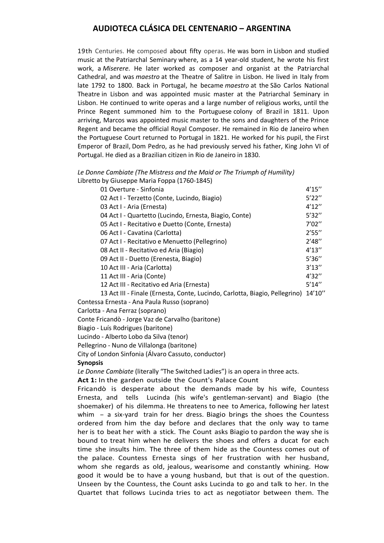19th Centuries. He composed about fifty operas. He was born in Lisbon and studied music at the Patriarchal Seminary where, as a 14 year-old student, he wrote his first work, a *Miserere*. He later worked as composer and organist at the Patriarchal Cathedral, and was *maestro* at the Theatre of Salitre in Lisbon. He lived in Italy from late 1792 to 1800. Back in Portugal, he became *maestro* at the São Carlos National Theatre in Lisbon and was appointed music master at the Patriarchal Seminary in Lisbon. He continued to write operas and a large number of religious works, until the Prince Regent summoned him to the Portuguese colony of Brazil in 1811. Upon arriving, Marcos was appointed music master to the sons and daughters of the Prince Regent and became the official Royal Composer. He remained in Rio de Janeiro when the Portuguese Court returned to Portugal in 1821. He worked for his pupil, the First Emperor of Brazil, Dom Pedro, as he had previously served his father, King John VI of Portugal. He died as a Brazilian citizen in Rio de Janeiro in 1830.

### *Le Donne Cambiate (The Mistress and the Maid or The Triumph of Humility)* Libretto by Giuseppe Maria Foppa (1760-1845)

| 01 Overture - Sinfonia                                                      | 4'15''  |
|-----------------------------------------------------------------------------|---------|
| 02 Act I - Terzetto (Conte, Lucindo, Biagio)                                | 5'22''  |
| 03 Act I - Aria (Ernesta)                                                   | 4'12''  |
| 04 Act I - Quartetto (Lucindo, Ernesta, Biagio, Conte)                      | 5'32''  |
| 05 Act I - Recitativo e Duetto (Conte, Ernesta)                             | 7'02''  |
| 06 Act I - Cavatina (Carlotta)                                              | 2'55''  |
| 07 Act I - Recitativo e Menuetto (Pellegrino)                               | 2'48''  |
| 08 Act II - Recitativo ed Aria (Biagio)                                     | 4'13''  |
| 09 Act II - Duetto (Erenesta, Biagio)                                       | 5'36''  |
| 10 Act III - Aria (Carlotta)                                                | 3'13''  |
| 11 Act III - Aria (Conte)                                                   | 4'32''  |
| 12 Act III - Recitativo ed Aria (Ernesta)                                   | 5'14''  |
| 13 Act III - Finale (Ernesta, Conte, Lucindo, Carlotta, Biagio, Pellegrino) | 14'10'' |

Contessa Ernesta - Ana Paula Russo (soprano)

### Carlotta - Ana Ferraz (soprano)

Conte Fricandò - Jorge Vaz de Carvalho (baritone)

Biagio - Luís Rodrigues (baritone)

Lucindo - Alberto Lobo da Silva (tenor)

Pellegrino - Nuno de Villalonga (baritone)

### **Synopsis**

*Le Donne Cambiate* (literally "The Switched Ladies") is an opera in three acts.

**Act 1:** In the garden outside the Count's Palace Count

Fricandò is desperate about the demands made by his wife, Countess Ernesta, and tells Lucinda (his wife's gentleman-servant) and Biagio (the shoemaker) of his dilemma. He threatens to nee to America, following her latest whim - a six-yard train for her dress. Biagio brings the shoes the Countess ordered from him the day before and declares that the only way to tame her is to beat her with a stick. The Count asks Biagio to pardon the way she is bound to treat him when he delivers the shoes and offers a ducat for each time she insults him. The three of them hide as the Countess comes out of the palace. Countess Ernesta sings of her frustration with her husband, whom she regards as old, jealous, wearisome and constantly whining. How good it would be to have a young husband, but that is out of the question. Unseen by the Countess, the Count asks Lucinda to go and talk to her. In the Quartet that follows Lucinda tries to act as negotiator between them. The

City of London Sinfonia (Álvaro Cassuto, conductor)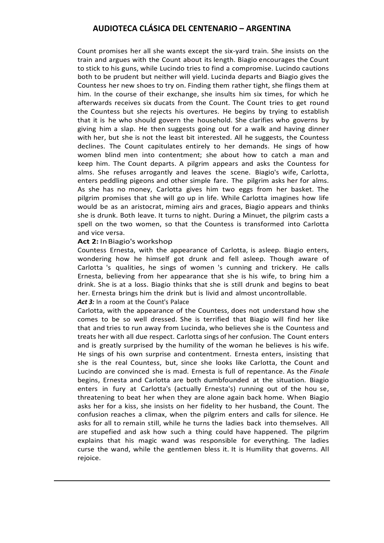Count promises her all she wants except the six-yard train. She insists on the train and argues with the Count about its length. Biagio encourages the Count to stick to his guns, while Lucindo tries to find a compromise. Lucindo cautions both to be prudent but neither will yield. Lucinda departs and Biagio gives the Countess her new shoes to try on. Finding them rather tight, she flings them at him. In the course of their exchange, she insults him six times, for which he afterwards receives six ducats from the Count. The Count tries to get round the Countess but she rejects his overtures. He begins by trying to establish that it is he who should govern the household. She clarifies who governs by giving him a slap. He then suggests going out for a walk and having dinner with her, but she is not the least bit interested. All he suggests, the Countess declines. The Count capitulates entirely to her demands. He sings of how women blind men into contentment; she about how to catch a man and keep him. The Count departs. A pilgrim appears and asks the Countess for alms. She refuses arrogantly and leaves the scene. Biagio's wife, Carlotta, enters peddling pigeons and other simple fare. The pilgrim asks her for alms. As she has no money, Carlotta gives him two eggs from her basket. The pilgrim promises that she will go up in life. While Carlotta imagines how life would be as an aristocrat, miming airs and graces, Biagio appears and thinks she is drunk. Both leave. It turns to night. During a Minuet, the pilgrim casts a spell on the two women, so that the Countess is transformed into Carlotta and vice versa.

### **Act 2:** InBiagio's workshop

Countess Ernesta, with the appearance of Carlotta, is asleep. Biagio enters, wondering how he himself got drunk and fell asleep. Though aware of Carlotta 's qualities, he sings of women 's cunning and trickery. He calls Ernesta, believing from her appearance that she is his wife, to bring him a drink. She is at a loss. Biagio thinks that she is still drunk and begins to beat her. Ernesta brings him the drink but is livid and almost uncontrollable.

### Act 3: In a room at the Count's Palace

Carlotta, with the appearance of the Countess, does not understand how she comes to be so well dressed. She is terrified that Biagio will find her like that and tries to run away from Lucinda, who believes she is the Countess and treats her with all due respect. Carlotta sings of her confusion. The Count enters and is greatly surprised by the humility of the woman he believes is his wife. He sings of his own surprise and contentment. Ernesta enters, insisting that she is the real Countess, but, since she looks like Carlotta, the Count and Lucindo are convinced she is mad. Ernesta is full of repentance. As the *Finale* begins, Ernesta and Carlotta are both dumbfounded at the situation. Biagio enters in fury at Carlotta's (actually Ernesta's) running out of the hou se, threatening to beat her when they are alone again back home. When Biagio asks her for a kiss, she insists on her fidelity to her husband, the Count. The confusion reaches a climax, when the pilgrim enters and calls for silence. He asks for all to remain still, while he turns the ladies back into themselves. All are stupefied and ask how such a thing could have happened. The pilgrim explains that his magic wand was responsible for everything. The ladies curse the wand, while the gentlemen bless it. It is Humility that governs. All rejoice.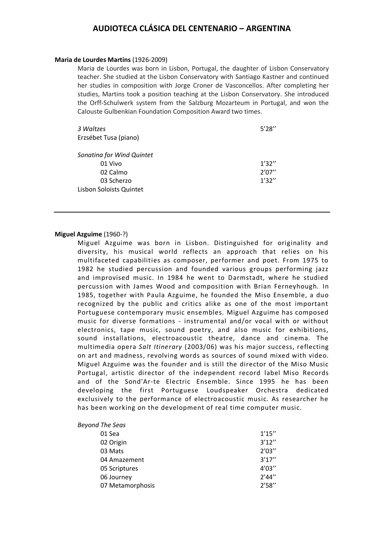### **Maria de Lourdes Martins** (1926-2009)

Maria de Lourdes was born in Lisbon, Portugal, the daughter of Lisbon Conservatory teacher. She studied at the Lisbon Conservatory with Santiago Kastner and continued her studies in composition with Jorge Croner de Vasconcellos. After completing her studies, Martins took a position teaching at the Lisbon Conservatory. She introduced the Orff-Schulwerk system from the Salzburg Mozarteum in Portugal, and won the Calouste Gulbenkian Foundation Composition Award two times.

| 3 Waltzes<br>Erzsébet Tusa (piano) | 5'28'' |
|------------------------------------|--------|
| Sonatina for Wind Quintet          |        |
| 01 Vivo                            | 1'32'' |
| 02 Calmo                           | 2'07'' |
| 03 Scherzo                         | 1'32'' |
| Lisbon Soloists Quintet            |        |

### **Miguel Azguime** (1960-?)

Miguel Azguime was born in Lisbon. Distinguished for originality and diversity, his musical world reflects an approach that relies on his multifaceted capabilities as composer, performer and poet. From 1975 to 1982 he studied percussion and founded various groups performing jazz and improvised music. In 1984 he went to Darmstadt, where he studied percussion with James Wood and composition with Brian Ferneyhough. In 1985, together with Paula Azguime, he founded the Miso Ensemble, a duo recognized by the public and critics alike as one of the most important Portuguese contemporary music ensembles. Miguel Azguime has composed music for diverse formations - instrumental and/or vocal with or without electronics, tape music, sound poetry, and also music for exhibitions, sound installations, electroacoustic theatre, dance and cinema. The multimedia opera *Salt Itinerary* (2003/06) was his major success, reflecting on art and madness, revolving words as sources of sound mixed with video. Miguel Azguime was the founder and is still the director of the Miso Music Portugal, artistic director of the independent record label Miso Records and of the Sond'Ar-te Electric Ensemble. Since 1995 he has been developing the first Portuguese Loudspeaker Orchestra dedicated exclusively to the performance of electroacoustic music. As researcher he has been working on the development of real time computer music.

| <b>Beyond The Seas</b> |        |
|------------------------|--------|
| 01 Sea                 | 1'15'' |
| 02 Origin              | 3'12'' |
| 03 Mats                | 2'03'' |
| 04 Amazement           | 3'17'' |
| 05 Scriptures          | 4'03'' |
| 06 Journey             | 2'44'' |
| 07 Metamorphosis       | 2'58'' |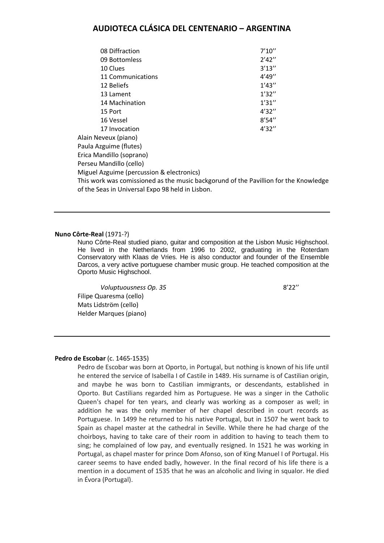| 08 Diffraction                                                                       | 7'10'' |
|--------------------------------------------------------------------------------------|--------|
| 09 Bottomless                                                                        | 2'42'' |
| 10 Clues                                                                             | 3'13'' |
| 11 Communications                                                                    | 4'49'' |
| 12 Beliefs                                                                           | 1'43'' |
| 13 Lament                                                                            | 1'32'' |
| 14 Machination                                                                       | 1'31'' |
| 15 Port                                                                              | 4'32'' |
| 16 Vessel                                                                            | 8'54'' |
| 17 Invocation                                                                        | 4'32'' |
| Alain Neveux (piano)                                                                 |        |
| Paula Azguime (flutes)                                                               |        |
| Erica Mandillo (soprano)                                                             |        |
| Perseu Mandillo (cello)                                                              |        |
| Miguel Azguime (percussion & electronics)                                            |        |
| This work was comissioned as the music backgorund of the Pavillion for the Knowledge |        |
| of the Seas in Universal Expo 98 held in Lisbon.                                     |        |

#### **Nuno Côrte-Real** (1971-?)

Nuno Côrte-Real studied piano, guitar and composition at the Lisbon Music Highschool. He lived in the Netherlands from 1996 to 2002, graduating in the Roterdam Conservatory with Klaas de Vries. He is also conductor and founder of the Ensemble Darcos, a very active portuguese chamber music group. He teached composition at the Oporto Music Highschool.

*Voluptuousness Op.* 35 8'22" Filipe Quaresma (cello) Mats Lidström (cello) Helder Marques (piano)

#### **Pedro de Escobar** (c. 1465-1535)

Pedro de Escobar was born at Oporto, in Portugal, but nothing is known of his life until he entered the service of Isabella I of Castile in 1489. His surname is of Castilian origin, and maybe he was born to Castilian immigrants, or descendants, established in Oporto. But Castilians regarded him as Portuguese. He was a singer in the Catholic Queen's chapel for ten years, and clearly was working as a composer as well; in addition he was the only member of her chapel described in court records as Portuguese. In 1499 he returned to his native Portugal, but in 1507 he went back to Spain as chapel master at the cathedral in Seville. While there he had charge of the choirboys, having to take care of their room in addition to having to teach them to sing; he complained of low pay, and eventually resigned. In 1521 he was working in Portugal, as chapel master for prince Dom Afonso, son of King Manuel I of Portugal. His career seems to have ended badly, however. In the final record of his life there is a mention in a document of 1535 that he was an alcoholic and living in squalor. He died in Évora (Portugal).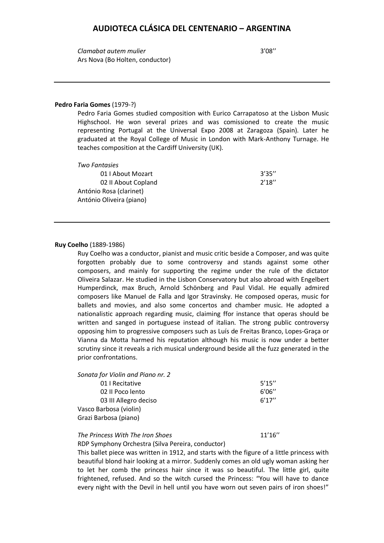*Clamabat autem mulier* 3'08'' Ars Nova (Bo Holten, conductor)

#### **Pedro Faria Gomes** (1979-?)

Pedro Faria Gomes studied composition with Eurico Carrapatoso at the Lisbon Music Highschool. He won several prizes and was comissioned to create the music representing Portugal at the Universal Expo 2008 at Zaragoza (Spain). Later he graduated at the Royal College of Music in London with Mark-Anthony Turnage. He teaches composition at the Cardiff University (UK).

| Two Fantasies            |        |
|--------------------------|--------|
| 01   About Mozart        | 3'35'' |
| 02 II About Copland      | 2'18'' |
| António Rosa (clarinet)  |        |
| António Oliveira (piano) |        |

#### **Ruy Coelho** (1889-1986)

Ruy Coelho was a conductor, pianist and music critic beside a Composer, and was quite forgotten probably due to some controversy and stands against some other composers, and mainly for supporting the regime under the rule of the dictator Oliveira Salazar. He studied in the Lisbon Conservatory but also abroad with Engelbert Humperdinck, max Bruch, Arnold Schönberg and Paul Vidal. He equally admired composers like Manuel de Falla and Igor Stravinsky. He composed operas, music for ballets and movies, and also some concertos and chamber music. He adopted a nationalistic approach regarding music, claiming ffor instance that operas should be written and sanged in portuguese instead of italian. The strong public controversy opposing him to progressive composers such as Luís de Freitas Branco, Lopes-Graça or Vianna da Motta harmed his reputation although his music is now under a better scrutiny since it reveals a rich musical underground beside all the fuzz generated in the prior confrontations.

*Sonata for Violin and Piano nr. 2*

| 01   Recitative        | 5'15'' |
|------------------------|--------|
| 02 Il Poco lento       | 6'06'' |
| 03 III Allegro deciso  | 6'17'' |
| Vasco Barbosa (violin) |        |
| Grazi Barbosa (piano)  |        |
|                        |        |

*The Princess With The Iron Shoes* 11'16"

RDP Symphony Orchestra (Silva Pereira, conductor)

This ballet piece was written in 1912, and starts with the figure of a little princess with beautiful blond hair looking at a mirror. Suddenly comes an old ugly woman asking her to let her comb the princess hair since it was so beautiful. The little girl, quite frightened, refused. And so the witch cursed the Princess: "You will have to dance every night with the Devil in hell until you have worn out seven pairs of iron shoes!"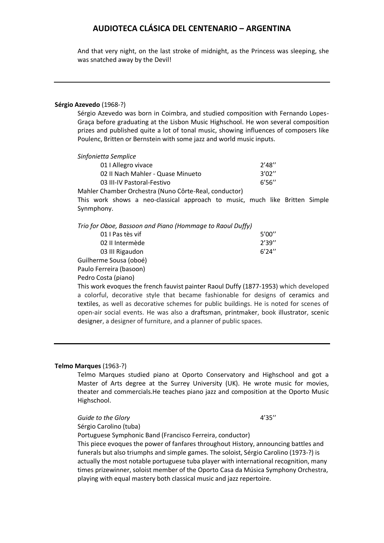And that very night, on the last stroke of midnight, as the Princess was sleeping, she was snatched away by the Devil!

### **Sérgio Azevedo** (1968-?)

Sérgio Azevedo was born in Coimbra, and studied composition with Fernando Lopes-Graça before graduating at the Lisbon Music Highschool. He won several composition prizes and published quite a lot of tonal music, showing influences of composers like Poulenc, Britten or Bernstein with some jazz and world music inputs.

| Sinfonietta Semplice |  |  |
|----------------------|--|--|
|----------------------|--|--|

| 01   Allegro vivace               | 2'48'' |
|-----------------------------------|--------|
| 02 II Nach Mahler - Quase Minueto | 3'02'' |
| 03 III-IV Pastoral-Festivo        | 6'56'' |
|                                   |        |

Mahler Chamber Orchestra (Nuno Côrte-Real, conductor)

This work shows a neo-classical approach to music, much like Britten Simple Synmphony.

| Trio for Oboe, Bassoon and Piano (Hommage to Raoul Duffy) |  |
|-----------------------------------------------------------|--|
|-----------------------------------------------------------|--|

| 01 I Pas tès vif        | 5'00'' |
|-------------------------|--------|
| 02 Il Intermède         | 2'39'' |
| 03 III Rigaudon         | 6'24′′ |
| Guilherme Sousa (oboé)  |        |
| Paulo Ferreira (basoon) |        |

Pedro Costa (piano)

This work evoques the french fauvist painter Raoul Duffy (1877-1953) which developed a colorful, decorative style that became fashionable for designs of ceramics and textiles, as well as decorative schemes for public buildings. He is noted for scenes of open-air social events. He was also a draftsman, printmaker, book illustrator, scenic designer, a designer of furniture, and a planner of public spaces.

### **Telmo Marques** (1963-?)

Telmo Marques studied piano at Oporto Conservatory and Highschool and got a Master of Arts degree at the Surrey University (UK). He wrote music for movies, theater and commercials.He teaches piano jazz and composition at the Oporto Music Highschool.

Guide to the Glory **4'35''** 

Sérgio Carolino (tuba)

Portuguese Symphonic Band (Francisco Ferreira, conductor)

This piece evoques the power of fanfares throughout History, announcing battles and funerals but also triumphs and simple games. The soloist, Sérgio Carolino (1973-?) is actually the most notable portuguese tuba player with international recognition, many times prizewinner, soloist member of the Oporto Casa da Música Symphony Orchestra, playing with equal mastery both classical music and jazz repertoire.